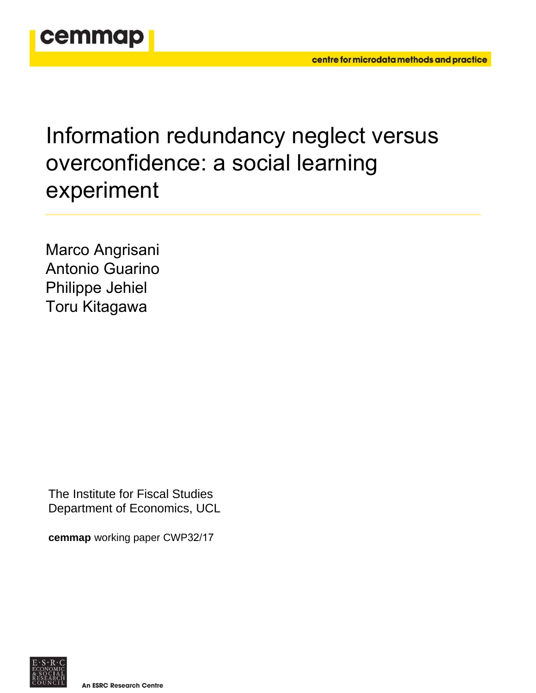

# Information redundancy neglect versus overconfidence: a social learning experiment

Marco Angrisani Antonio Guarino Philippe Jehiel Toru Kitagawa

The Institute for Fiscal Studies Department of Economics, UCL

**cemmap** working paper CWP32/17

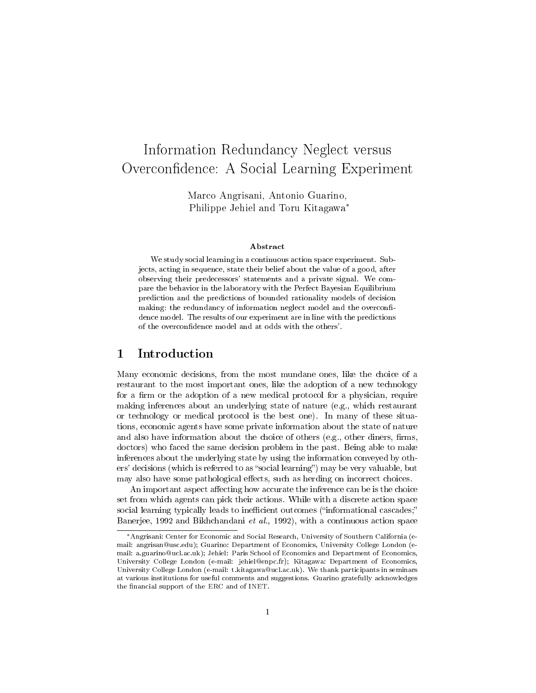# Information Redundancy Neglect versus Overconfidence: A Social Learning Experiment

Marco Angrisani, Antonio Guarino, Philippe Jehiel and Toru Kitagawa<sup>∗</sup>

#### Abstract

We study social learning in a continuous action space experiment. Subjects, acting in sequence, state their belief about the value of a good, after observing their predecessors' statements and a private signal. We compare the behavior in the laboratory with the Perfect Bayesian Equilibrium prediction and the predictions of bounded rationality models of decision making: the redundancy of information neglect model and the overconfidence model. The results of our experiment are in line with the predictions of the overconfidence model and at odds with the others'.

#### 1 Introduction

Many economic decisions, from the most mundane ones, like the choice of a restaurant to the most important ones, like the adoption of a new technology for a firm or the adoption of a new medical protocol for a physician, require making inferences about an underlying state of nature (e.g., which restaurant or technology or medical protocol is the best one). In many of these situations, economic agents have some private information about the state of nature and also have information about the choice of others (e.g., other diners, firms, doctors) who faced the same decision problem in the past. Being able to make inferences about the underlying state by using the information conveyed by others' decisions (which is referred to as "social learning") may be very valuable, but may also have some pathological effects, such as herding on incorrect choices.

An important aspect affecting how accurate the inference can be is the choice set from which agents can pick their actions. While with a discrete action space social learning typically leads to inefficient outcomes ("informational cascades;" Banerjee, 1992 and Bikhchandani et al., 1992), with a continuous action space

<sup>∗</sup>Angrisani: Center for Economic and Social Research, University of Southern California (email: angrisan@usc.edu); Guarino: Department of Economics, University College London (email: a.guarino@ucl.ac.uk); Jehiel: Paris School of Economics and Department of Economics, University College London (e-mail: jehiel@enpc.fr); Kitagawa: Department of Economics, University College London (e-mail: t.kitagawa@ucl.ac.uk). We thank participants in seminars at various institutions for useful comments and suggestions. Guarino gratefully acknowledges the financial support of the ERC and of INET.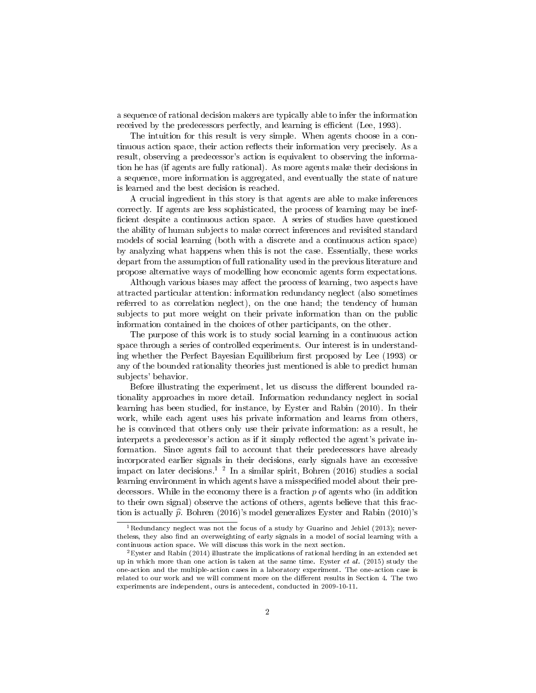a sequence of rational decision makers are typically able to infer the information received by the predecessors perfectly, and learning is efficient (Lee, 1993).

The intuition for this result is very simple. When agents choose in a continuous action space, their action reflects their information very precisely. As a result, observing a predecessor's action is equivalent to observing the information he has (if agents are fully rational). As more agents make their decisions in a sequence, more information is aggregated, and eventually the state of nature is learned and the best decision is reached.

A crucial ingredient in this story is that agents are able to make inferences correctly. If agents are less sophisticated, the process of learning may be inef ficient despite a continuous action space. A series of studies have questioned the ability of human subjects to make correct inferences and revisited standard models of social learning (both with a discrete and a continuous action space) by analyzing what happens when this is not the case. Essentially, these works depart from the assumption of full rationality used in the previous literature and propose alternative ways of modelling how economic agents form expectations.

Although various biases may affect the process of learning, two aspects have attracted particular attention: information redundancy neglect (also sometimes referred to as correlation neglect), on the one hand; the tendency of human subjects to put more weight on their private information than on the public information contained in the choices of other participants, on the other.

The purpose of this work is to study social learning in a continuous action space through a series of controlled experiments. Our interest is in understanding whether the Perfect Bayesian Equilibrium first proposed by Lee (1993) or any of the bounded rationality theories just mentioned is able to predict human subjects' behavior.

Before illustrating the experiment, let us discuss the different bounded rationality approaches in more detail. Information redundancy neglect in social learning has been studied, for instance, by Eyster and Rabin (2010). In their work, while each agent uses his private information and learns from others, he is convinced that others only use their private information: as a result, he interprets a predecessor's action as if it simply reflected the agent's private information. Since agents fail to account that their predecessors have already incorporated earlier signals in their decisions, early signals have an excessive impact on later decisions.<sup>1</sup> <sup>2</sup> In a similar spirit, Bohren (2016) studies a social learning environment in which agents have a misspecified model about their predecessors. While in the economy there is a fraction  $p$  of agents who (in addition to their own signal) observe the actions of others, agents believe that this fraction is actually  $\hat{p}$ . Bohren (2016)'s model generalizes Eyster and Rabin (2010)'s

 $^1$ Redundancy neglect was not the focus of a study by Guarino and Jehiel (2013); nevertheless, they also find an overweighting of early signals in a model of social learning with a continuous action space. We will discuss this work in the next section.

 ${}^{2}$ Eyster and Rabin (2014) illustrate the implications of rational herding in an extended set up in which more than one action is taken at the same time. Eyster et al.  $(2015)$  study the one-action and the multiple-action cases in a laboratory experiment. The one-action case is related to our work and we will comment more on the different results in Section 4. The two experiments are independent, ours is antecedent, conducted in 2009-10-11.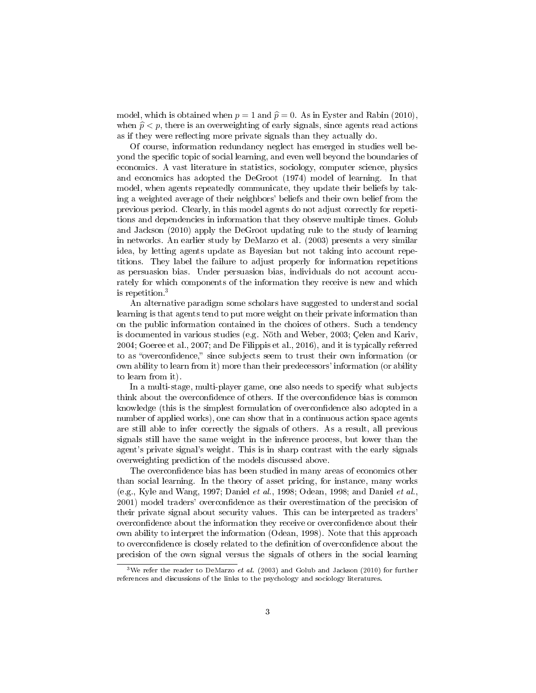model, which is obtained when  $p = 1$  and  $\hat{p} = 0$ . As in Eyster and Rabin (2010), when  $\hat{p} < p$ , there is an overweighting of early signals, since agents read actions as if they were reflecting more private signals than they actually do.

Of course, information redundancy neglect has emerged in studies well beyond the specific topic of social learning, and even well beyond the boundaries of economics. A vast literature in statistics, sociology, computer science, physics and economics has adopted the DeGroot (1974) model of learning. In that model, when agents repeatedly communicate, they update their beliefs by taking a weighted average of their neighbors' beliefs and their own belief from the previous period. Clearly, in this model agents do not adjust correctly for repetitions and dependencies in information that they observe multiple times. Golub and Jackson (2010) apply the DeGroot updating rule to the study of learning in networks. An earlier study by DeMarzo et al. (2003) presents a very similar idea, by letting agents update as Bayesian but not taking into account repetitions. They label the failure to adjust properly for information repetitions as persuasion bias. Under persuasion bias, individuals do not account accurately for which components of the information they receive is new and which is repetition.<sup>3</sup>

An alternative paradigm some scholars have suggested to understand social learning is that agents tend to put more weight on their private information than on the public information contained in the choices of others. Such a tendency is documented in various studies (e.g. Nöth and Weber, 2003; Çelen and Kariv, 2004; Goeree et al., 2007; and De Filippis et al., 2016), and it is typically referred to as "overconfidence," since subjects seem to trust their own information (or own ability to learn from it) more than their predecessors' information (or ability to learn from it).

In a multi-stage, multi-player game, one also needs to specify what subjects think about the overconfidence of others. If the overconfidence bias is common knowledge (this is the simplest formulation of overconfidence also adopted in a number of applied works), one can show that in a continuous action space agents are still able to infer correctly the signals of others. As a result, all previous signals still have the same weight in the inference process, but lower than the agent's private signal's weight. This is in sharp contrast with the early signals overweighting prediction of the models discussed above.

The overconfidence bias has been studied in many areas of economics other than social learning. In the theory of asset pricing, for instance, many works (e.g., Kyle and Wang, 1997; Daniel et al., 1998; Odean, 1998; and Daniel et al., 2001) model traders' overconfidence as their overestimation of the precision of their private signal about security values. This can be interpreted as traders' overcondence about the information they receive or overcondence about their own ability to interpret the information (Odean, 1998). Note that this approach to overconfidence is closely related to the definition of overconfidence about the precision of the own signal versus the signals of others in the social learning

<sup>&</sup>lt;sup>3</sup>We refer the reader to DeMarzo *et al.* (2003) and Golub and Jackson (2010) for further references and discussions of the links to the psychology and sociology literatures.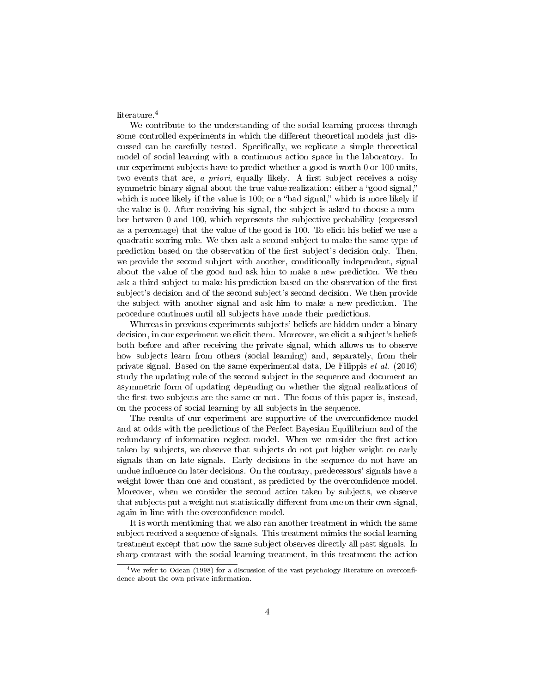literature.<sup>4</sup>

We contribute to the understanding of the social learning process through some controlled experiments in which the different theoretical models just discussed can be carefully tested. Specifically, we replicate a simple theoretical model of social learning with a continuous action space in the laboratory. In our experiment subjects have to predict whether a good is worth 0 or 100 units, two events that are, a priori, equally likely. A first subject receives a noisy symmetric binary signal about the true value realization: either a "good signal," which is more likely if the value is  $100$ ; or a "bad signal," which is more likely if the value is 0. After receiving his signal, the subject is asked to choose a number between 0 and 100, which represents the subjective probability (expressed as a percentage) that the value of the good is 100. To elicit his belief we use a quadratic scoring rule. We then ask a second subject to make the same type of prediction based on the observation of the first subject's decision only. Then, we provide the second subject with another, conditionally independent, signal about the value of the good and ask him to make a new prediction. We then ask a third subject to make his prediction based on the observation of the first subject's decision and of the second subject's second decision. We then provide the subject with another signal and ask him to make a new prediction. The procedure continues until all subjects have made their predictions.

Whereas in previous experiments subjects' beliefs are hidden under a binary decision, in our experiment we elicit them. Moreover, we elicit a subject's beliefs both before and after receiving the private signal, which allows us to observe how subjects learn from others (social learning) and, separately, from their private signal. Based on the same experimental data, De Filippis et al. (2016) study the updating rule of the second subject in the sequence and document an asymmetric form of updating depending on whether the signal realizations of the first two subjects are the same or not. The focus of this paper is, instead, on the process of social learning by all subjects in the sequence.

The results of our experiment are supportive of the overconfidence model and at odds with the predictions of the Perfect Bayesian Equilibrium and of the redundancy of information neglect model. When we consider the first action taken by subjects, we observe that subjects do not put higher weight on early signals than on late signals. Early decisions in the sequence do not have an undue influence on later decisions. On the contrary, predecessors' signals have a weight lower than one and constant, as predicted by the overconfidence model. Moreover, when we consider the second action taken by subjects, we observe that subjects put a weight not statistically different from one on their own signal, again in line with the overconfidence model.

It is worth mentioning that we also ran another treatment in which the same subject received a sequence of signals. This treatment mimics the social learning treatment except that now the same subject observes directly all past signals. In sharp contrast with the social learning treatment, in this treatment the action

<sup>&</sup>lt;sup>4</sup>We refer to Odean (1998) for a discussion of the vast psychology literature on overconfidence about the own private information.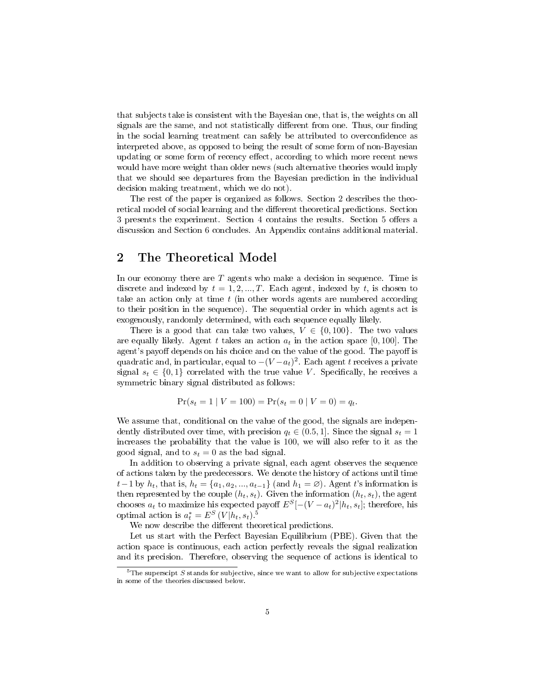that subjects take is consistent with the Bayesian one, that is, the weights on all signals are the same, and not statistically different from one. Thus, our finding in the social learning treatment can safely be attributed to overconfidence as interpreted above, as opposed to being the result of some form of non-Bayesian updating or some form of recency effect, according to which more recent news would have more weight than older news (such alternative theories would imply that we should see departures from the Bayesian prediction in the individual decision making treatment, which we do not).

The rest of the paper is organized as follows. Section 2 describes the theoretical model of social learning and the different theoretical predictions. Section 3 presents the experiment. Section 4 contains the results. Section 5 offers a discussion and Section 6 concludes. An Appendix contains additional material.

#### 2 The Theoretical Model

In our economy there are  $T$  agents who make a decision in sequence. Time is discrete and indexed by  $t = 1, 2, ..., T$ . Each agent, indexed by t, is chosen to take an action only at time  $t$  (in other words agents are numbered according to their position in the sequence). The sequential order in which agents act is exogenously, randomly determined, with each sequence equally likely.

There is a good that can take two values,  $V \in \{0, 100\}$ . The two values are equally likely. Agent t takes an action  $a_t$  in the action space [0, 100]. The agent's payoff depends on his choice and on the value of the good. The payoff is quadratic and, in particular, equal to  $-(V-a_t)^2$ . Each agent t receives a private signal  $s_t \in \{0,1\}$  correlated with the true value V. Specifically, he receives a symmetric binary signal distributed as follows:

$$
Pr(s_t = 1 | V = 100) = Pr(s_t = 0 | V = 0) = q_t.
$$

We assume that, conditional on the value of the good, the signals are independently distributed over time, with precision  $q_t \in (0.5, 1]$ . Since the signal  $s_t = 1$ increases the probability that the value is 100, we will also refer to it as the good signal, and to  $s_t = 0$  as the bad signal.

In addition to observing a private signal, each agent observes the sequence of actions taken by the predecessors. We denote the history of actions until time  $t-1$  by  $h_t$ , that is,  $h_t = \{a_1, a_2, ..., a_{t-1}\}$  (and  $h_1 = \emptyset$ ). Agent t's information is then represented by the couple  $(h_t, s_t)$ . Given the information  $(h_t, s_t)$ , the agent chooses  $a_t$  to maximize his expected payoff  $E^{S}[-(V-a_t)^2]h_t, s_t]$ ; therefore, his optimal action is  $a_t^* = E^S (V | h_t, s_t)^{S}$ 

We now describe the different theoretical predictions.

Let us start with the Perfect Bayesian Equilibrium (PBE). Given that the action space is continuous, each action perfectly reveals the signal realization and its precision. Therefore, observing the sequence of actions is identical to

 $5$ The superscipt S stands for subjective, since we want to allow for subjective expectations in some of the theories discussed below.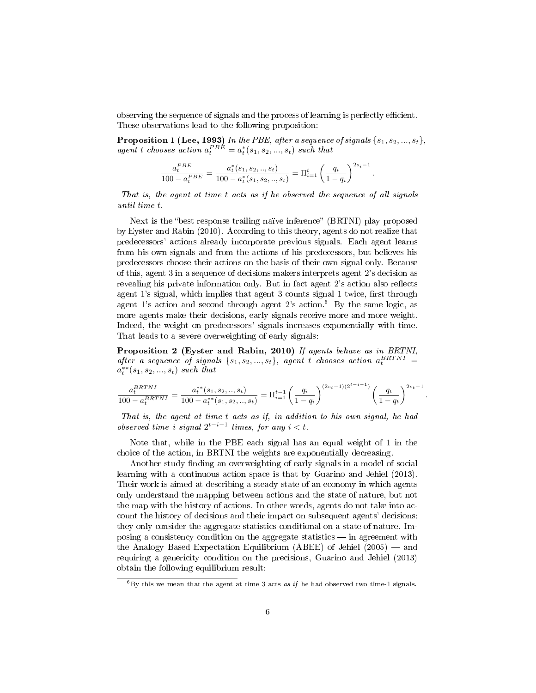observing the sequence of signals and the process of learning is perfectly efficient. These observations lead to the following proposition:

**Proposition 1 (Lee, 1993)** In the PBE, after a sequence of signals  $\{s_1, s_2, ..., s_t\}$ , agent t chooses action  $a_t^{PBE} = a_t^*(s_1, s_2, ..., s_t)$  such that

$$
\frac{a_t^{PBE}}{100 - a_t^{PBE}} = \frac{a_t^*(s_1, s_2, ..., s_t)}{100 - a_t^*(s_1, s_2, ..., s_t)} = \Pi_{i=1}^t \left(\frac{q_i}{1 - q_i}\right)^{2s_i - 1}.
$$

That is, the agent at time t acts as if he observed the sequence of all signals until time t.

Next is the "best response trailing naïve inference" (BRTNI) play proposed by Eyster and Rabin (2010). According to this theory, agents do not realize that predecessors' actions already incorporate previous signals. Each agent learns from his own signals and from the actions of his predecessors, but believes his predecessors choose their actions on the basis of their own signal only. Because of this, agent 3 in a sequence of decisions makers interprets agent 2's decision as revealing his private information only. But in fact agent 2's action also reflects agent 1's signal, which implies that agent 3 counts signal 1 twice, first through agent 1's action and second through agent 2's action.<sup>6</sup> By the same logic, as more agents make their decisions, early signals receive more and more weight. Indeed, the weight on predecessors' signals increases exponentially with time. That leads to a severe overweighting of early signals:

Proposition 2 (Eyster and Rabin, 2010) If agents behave as in BRTNI, after a sequence of signals  $\{s_1, s_2, ..., s_t\}$ , agent t chooses action  $a_t^{BRTNI} =$  $a_t^{**}(s_1, s_2, ..., s_t)$  such that

$$
\frac{a_t^{BRTNI}}{100-a_t^{BRTNI}} = \frac{a_t^{**}(s_1, s_2, .., s_t)}{100-a_t^{**}(s_1, s_2, .., s_t)} = \Pi_{i=1}^{t-1} \left(\frac{q_i}{1-q_i}\right)^{(2s_i-1)(2^{t-i-1})} \left(\frac{q_t}{1-q_t}\right)^{2s_t-1}
$$

.

That is, the agent at time t acts as if, in addition to his own signal, he had observed time i signal  $2^{t-i-1}$  times, for any  $i < t$ .

Note that, while in the PBE each signal has an equal weight of 1 in the choice of the action, in BRTNI the weights are exponentially decreasing.

Another study finding an overweighting of early signals in a model of social learning with a continuous action space is that by Guarino and Jehiel (2013). Their work is aimed at describing a steady state of an economy in which agents only understand the mapping between actions and the state of nature, but not the map with the history of actions. In other words, agents do not take into account the history of decisions and their impact on subsequent agents' decisions; they only consider the aggregate statistics conditional on a state of nature. Imposing a consistency condition on the aggregate statistics  $-$  in agreement with the Analogy Based Expectation Equilibrium (ABEE) of Jehiel  $(2005)$  — and requiring a genericity condition on the precisions, Guarino and Jehiel (2013) obtain the following equilibrium result:

 $6By$  this we mean that the agent at time 3 acts as if he had observed two time-1 signals.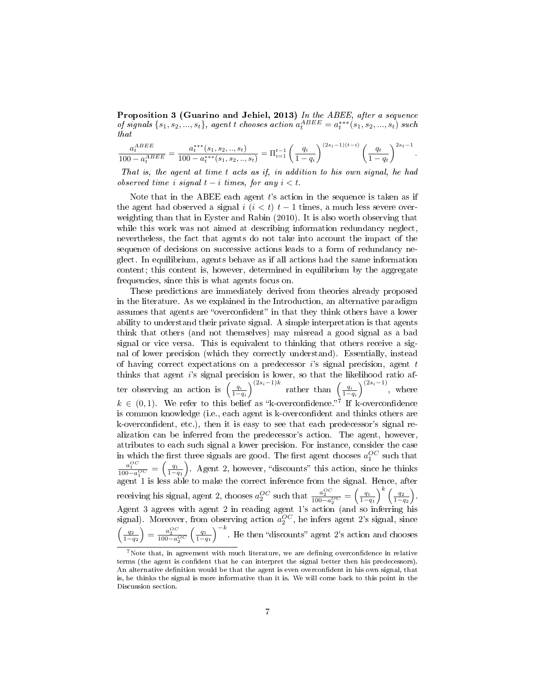Proposition 3 (Guarino and Jehiel, 2013) In the ABEE, after a sequence of signals  $\{s_1, s_2, ..., s_t\}$ , agent t chooses action  $a_t^{ABEE} = a_t^{***}(s_1, s_2, ..., s_t)$  such that

$$
\frac{a_t^{ABEE}}{100 - a_t^{ABEE}} = \frac{a_t^{***}(s_1, s_2,.., s_t)}{100 - a_t^{***}(s_1, s_2,.., s_t)} = \Pi_{i=1}^{t-1} \left(\frac{q_i}{1-q_i}\right)^{(2s_i-1)(t-i)} \left(\frac{q_t}{1-q_t}\right)^{2s_t-1}.
$$

That is, the agent at time t acts as if, in addition to his own signal, he had observed time i signal  $t - i$  times, for any  $i < t$ .

Note that in the ABEE each agent  $t$ 's action in the sequence is taken as if the agent had observed a signal  $i$   $(i < t)$   $t - 1$  times, a much less severe overweighting than that in Eyster and Rabin (2010). It is also worth observing that while this work was not aimed at describing information redundancy neglect, nevertheless, the fact that agents do not take into account the impact of the sequence of decisions on successive actions leads to a form of redundancy neglect. In equilibrium, agents behave as if all actions had the same information content; this content is, however, determined in equilibrium by the aggregate frequencies, since this is what agents focus on.

These predictions are immediately derived from theories already proposed in the literature. As we explained in the Introduction, an alternative paradigm assumes that agents are "overconfident" in that they think others have a lower ability to understand their private signal. A simple interpretation is that agents think that others (and not themselves) may misread a good signal as a bad signal or vice versa. This is equivalent to thinking that others receive a signal of lower precision (which they correctly understand). Essentially, instead of having correct expectations on a predecessor  $i$ 's signal precision, agent  $t$ thinks that agent i's signal precision is lower, so that the likelihood ratio after observing an action is  $\left(\frac{q_i}{1-q_i}\right)^{(2s_i-1)k}$  rather than  $\left(\frac{q_i}{1-q_i}\right)^{(2s_i-1)}$ , where  $k \in (0, 1)$ . We refer to this belief as "k-overconfidence."<sup>7</sup> If k-overconfidence is common knowledge (i.e., each agent is k-overconfident and thinks others are k-overcondent, etc.), then it is easy to see that each predecessor's signal realization can be inferred from the predecessor's action. The agent, however, attributes to each such signal a lower precision. For instance, consider the case in which the first three signals are good. The first agent chooses  $a_1^{OC}$  such that  $\frac{a_1^{OC}}{100-a_1^{OC}} = \left(\frac{q_1}{1-q_1}\right)$ . Agent 2, however, "discounts" this action, since he thinks agent 1 is less able to make the correct inference from the signal. Hence, after receiving his signal, agent 2, chooses  $a_2^{OC}$  such that  $\frac{a_2^{OC}}{100-a_2^{OC}} = \left(\frac{q_1}{1-q_1}\right)^k \left(\frac{q_2}{1-q_2}\right)$ . Agent 3 agrees with agent 2 in reading agent 1's action (and so inferring his signal). Moreover, from observing action  $a_2^{OC}$ , he infers agent 2's signal, since  $\left(\frac{q_2}{1-q_2}\right) = \frac{a_2^{OC}}{100 - a_2^{OC}}$  $\left(\frac{q_1}{1-q_1}\right)^{-k}$ . He then "discounts" agent 2's action and chooses

 $7$ Note that, in agreement with much literature, we are defining overconfidence in relative terms (the agent is confident that he can interpret the signal better then his predecessors). An alternative definition would be that the agent is even overconfident in his own signal, that is, he thinks the signal is more informative than it is. We will come back to this point in the Discussion section.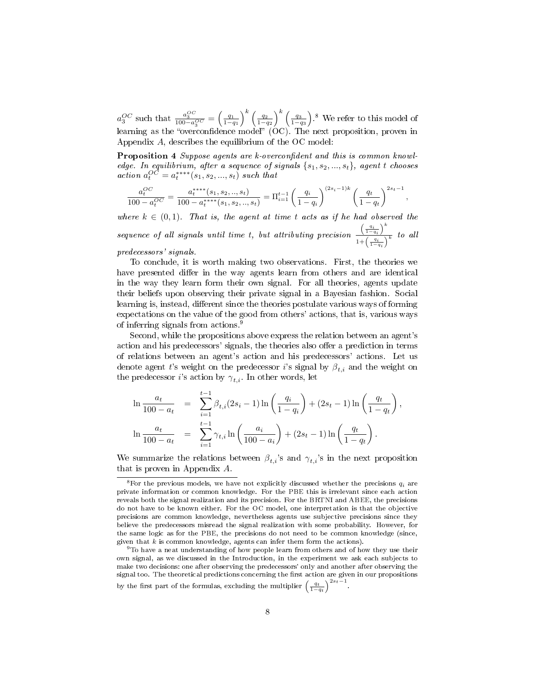$a_3^{OC}$  such that  $\frac{a_3^{OC}}{100-a_3^{OC}} = \left(\frac{q_1}{1-q_1}\right)^k \left(\frac{q_2}{1-q_2}\right)^k \left(\frac{q_3}{1-q_3}\right)^8$ . We refer to this model of learning as the "overconfidence model"  $(OC)$ . The next proposition, proven in Appendix A, describes the equilibrium of the OC model:

Proposition 4 Suppose agents are k-overconfident and this is common knowledge. In equilibrium, after a sequence of signals  $\{s_1, s_2, ..., s_t\}$ , agent t chooses  $action a_t^{OC} = a_t^{***}(s_1, s_2, ..., s_t)$  such that

$$
\frac{a_t^{OC}}{100 - a_t^{OC}} = \frac{a_t^{****}(s_1, s_2, ..., s_t)}{100 - a_t^{****}(s_1, s_2, ..., s_t)} = \Pi_{i=1}^{t-1} \left(\frac{q_i}{1 - q_i}\right)^{(2s_i - 1)k} \left(\frac{q_t}{1 - q_t}\right)^{2s_t - 1},
$$

where  $k \in (0,1)$ . That is, the agent at time t acts as if he had observed the sequence of all signals until time t, but attributing precision  $\left(\frac{q_i}{1-q_i}\right)^k$  $rac{1-q_i}{1+\left(\frac{q_i}{1-q_i}\right)^k}$  to all predecessors' signals.

To conclude, it is worth making two observations. First, the theories we have presented differ in the way agents learn from others and are identical in the way they learn form their own signal. For all theories, agents update their beliefs upon observing their private signal in a Bayesian fashion. Social learning is, instead, different since the theories postulate various ways of forming expectations on the value of the good from others' actions, that is, various ways of inferring signals from actions.<sup>9</sup>

Second, while the propositions above express the relation between an agent's action and his predecessors' signals, the theories also offer a prediction in terms of relations between an agent's action and his predecessors' actions. Let us denote agent t's weight on the predecessor i's signal by  $\beta_{t,i}$  and the weight on the predecessor *i*'s action by  $\gamma_{t,i}$ . In other words, let

$$
\ln \frac{a_t}{100 - a_t} = \sum_{i=1}^{t-1} \beta_{t,i} (2s_i - 1) \ln \left( \frac{q_i}{1 - q_i} \right) + (2s_t - 1) \ln \left( \frac{q_t}{1 - q_t} \right),
$$
  

$$
\ln \frac{a_t}{100 - a_t} = \sum_{i=1}^{t-1} \gamma_{t,i} \ln \left( \frac{a_i}{100 - a_i} \right) + (2s_t - 1) \ln \left( \frac{q_t}{1 - q_t} \right).
$$

We summarize the relations between  $\beta_{t,i}$ 's and  $\gamma_{t,i}$ 's in the next proposition that is proven in Appendix A.

<sup>&</sup>lt;sup>8</sup>For the previous models, we have not explicitly discussed whether the precisions  $q_i$  are private information or common knowledge. For the PBE this is irrelevant since each action reveals both the signal realization and its precision. For the BRTNI and ABEE, the precisions do not have to be known either. For the OC model, one interpretation is that the objective precisions are common knowledge, nevertheless agents use subjective precisions since they believe the predecessors misread the signal realization with some probability. However, for the same logic as for the PBE, the precisions do not need to be common knowledge (since, given that  $k$  is common knowledge, agents can infer them form the actions).

 $9T$ o have a neat understanding of how people learn from others and of how they use their own signal, as we discussed in the Introduction, in the experiment we ask each subjects to make two decisions: one after observing the predecessors' only and another after observing the signal too. The theoretical predictions concerning the first action are given in our propositions by the first part of the formulas, excluding the multiplier  $\left(\frac{q_t}{1-q_t}\right)^{2st-1}$ .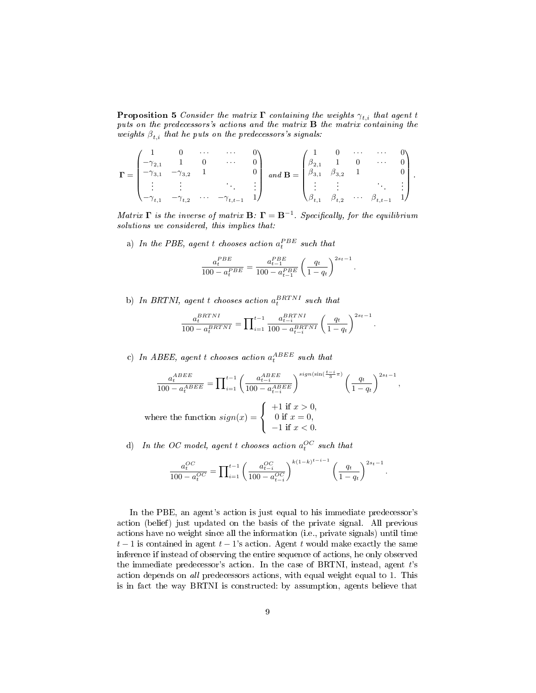**Proposition 5** Consider the matrix  $\Gamma$  containing the weights  $\gamma_{t,i}$  that agent t puts on the predecessors's actions and the matrix B the matrix containing the weights  $\beta_{t,i}$  that he puts on the predecessors's signals:

$$
\mathbf{\Gamma} = \begin{pmatrix} 1 & 0 & \cdots & \cdots & 0 \\ -\gamma_{2,1} & 1 & 0 & \cdots & 0 \\ -\gamma_{3,1} & -\gamma_{3,2} & 1 & & 0 \\ \vdots & \vdots & & & \vdots \\ -\gamma_{t,1} & -\gamma_{t,2} & \cdots & -\gamma_{t,t-1} & 1 \end{pmatrix} \text{ and } \mathbf{B} = \begin{pmatrix} 1 & 0 & \cdots & \cdots & 0 \\ \beta_{2,1} & 1 & 0 & \cdots & 0 \\ \beta_{3,1} & \beta_{3,2} & 1 & & 0 \\ \vdots & \vdots & & & \vdots \\ \beta_{t,1} & \beta_{t,2} & \cdots & \beta_{t,t-1} & 1 \end{pmatrix}.
$$

Matrix  $\Gamma$  is the inverse of matrix  $B: \Gamma = B^{-1}$ . Specifically, for the equilibrium solutions we considered, this implies that:

a) In the PBE, agent t chooses action  $a_t^{PBE}$  such that

$$
\frac{a_t^{PBE}}{100 - a_t^{PBE}} = \frac{a_{t-1}^{PBE}}{100 - a_{t-1}^{PBE}} \left(\frac{q_t}{1 - q_t}\right)^{2s_t - 1}.
$$

b) In BRTNI, agent t chooses action  $a_t^{BRTNI}$  such that

$$
\frac{a_t^{BRTNI}}{100 - a_t^{BRTNI}} = \prod_{i=1}^{t-1} \frac{a_{t-i}^{BRTNI}}{100 - a_{t-i}^{BRTNI}} \left(\frac{q_t}{1 - q_t}\right)^{2s_t - 1}.
$$

c) In ABEE, agent t chooses action  $a_t^{ABEE}$  such that

$$
\frac{a_t^{ABEE}}{100 - a_t^{ABEE}} = \prod_{i=1}^{t-1} \left( \frac{a_{t-i}^{ABEE}}{100 - a_{t-i}^{ABEE}} \right)^{sign(\sin\left(\frac{t-i}{3}\pi\right))} \left( \frac{q_t}{1 - q_t} \right)^{2s_t - 1},
$$
\nwhere the function  $sign(x) = \begin{cases} +1 & \text{if } x > 0, \\ 0 & \text{if } x = 0, \\ -1 & \text{if } x < 0. \end{cases}$ 

d) In the OC model, agent t chooses action  $a_t^{OC}$  such that

$$
\frac{a_t^{OC}}{100 - a_t^{OC}} = \prod_{i=1}^{t-1} \left( \frac{a_{t-i}^{OC}}{100 - a_{t-i}^{OC}} \right)^{k(1-k)^{t-i-1}} \left( \frac{q_t}{1 - q_t} \right)^{2s_t - 1}.
$$

In the PBE, an agent's action is just equal to his immediate predecessor's action (belief) just updated on the basis of the private signal. All previous actions have no weight since all the information (i.e., private signals) until time  $t-1$  is contained in agent  $t-1$ 's action. Agent t would make exactly the same inference if instead of observing the entire sequence of actions, he only observed the immediate predecessor's action. In the case of BRTNI, instead, agent  $t$ 's action depends on all predecessors actions, with equal weight equal to 1. This is in fact the way BRTNI is constructed: by assumption, agents believe that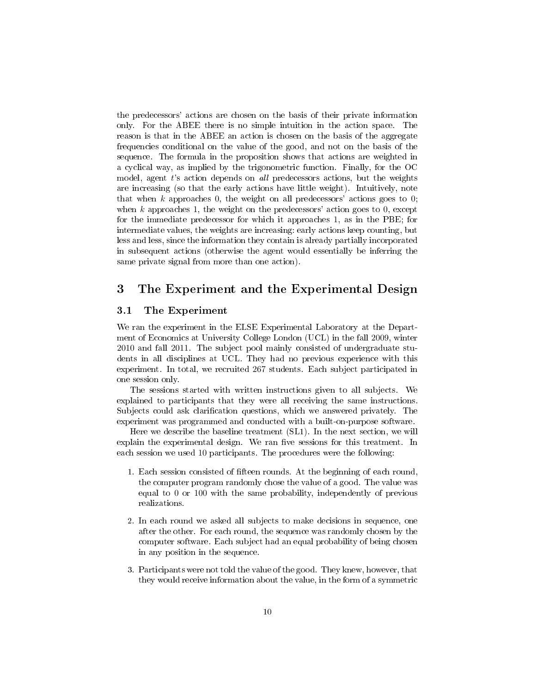the predecessors' actions are chosen on the basis of their private information only. For the ABEE there is no simple intuition in the action space. The reason is that in the ABEE an action is chosen on the basis of the aggregate frequencies conditional on the value of the good, and not on the basis of the sequence. The formula in the proposition shows that actions are weighted in a cyclical way, as implied by the trigonometric function. Finally, for the OC model, agent  $t$ 's action depends on *all* predecessors actions, but the weights are increasing (so that the early actions have little weight). Intuitively, note that when  $k$  approaches 0, the weight on all predecessors' actions goes to 0; when k approaches 1, the weight on the predecessors' action goes to 0, except for the immediate predecessor for which it approaches 1, as in the PBE; for intermediate values, the weights are increasing: early actions keep counting, but less and less, since the information they contain is already partially incorporated in subsequent actions (otherwise the agent would essentially be inferring the same private signal from more than one action).

#### 3 The Experiment and the Experimental Design

#### 3.1 The Experiment

We ran the experiment in the ELSE Experimental Laboratory at the Department of Economics at University College London (UCL) in the fall 2009, winter 2010 and fall 2011. The subject pool mainly consisted of undergraduate students in all disciplines at UCL. They had no previous experience with this experiment. In total, we recruited 267 students. Each subject participated in one session only.

The sessions started with written instructions given to all subjects. We explained to participants that they were all receiving the same instructions. Subjects could ask clarification questions, which we answered privately. The experiment was programmed and conducted with a built-on-purpose software.

Here we describe the baseline treatment (SL1). In the next section, we will explain the experimental design. We ran five sessions for this treatment. In each session we used 10 participants. The procedures were the following:

- 1. Each session consisted of fifteen rounds. At the beginning of each round, the computer program randomly chose the value of a good. The value was equal to 0 or 100 with the same probability, independently of previous realizations.
- 2. In each round we asked all subjects to make decisions in sequence, one after the other. For each round, the sequence was randomly chosen by the computer software. Each subject had an equal probability of being chosen in any position in the sequence.
- 3. Participants were not told the value of the good. They knew, however, that they would receive information about the value, in the form of a symmetric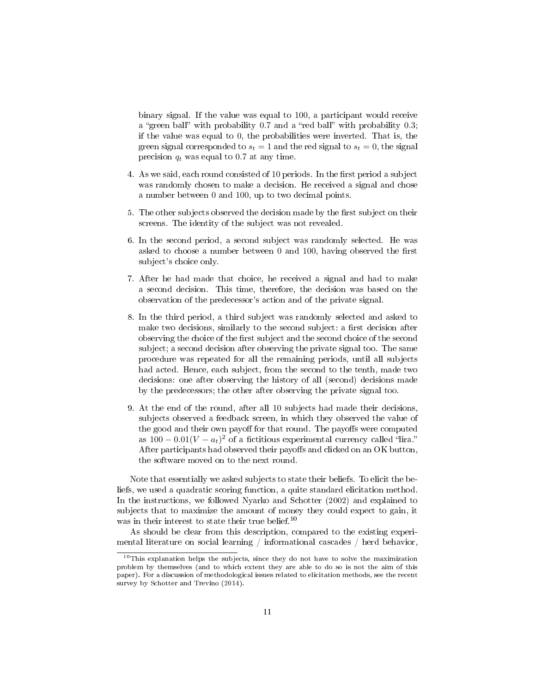binary signal. If the value was equal to 100, a participant would receive a "green ball" with probability  $0.7$  and a "red ball" with probability  $0.3$ ; if the value was equal to 0, the probabilities were inverted. That is, the green signal corresponded to  $s_t = 1$  and the red signal to  $s_t = 0$ , the signal precision  $q_t$  was equal to 0.7 at any time.

- 4. As we said, each round consisted of 10 periods. In the first period a subject was randomly chosen to make a decision. He received a signal and chose a number between 0 and 100, up to two decimal points.
- 5. The other subjects observed the decision made by the first subject on their screens. The identity of the subject was not revealed.
- 6. In the second period, a second subject was randomly selected. He was asked to choose a number between  $\theta$  and  $100$ , having observed the first subject's choice only.
- 7. After he had made that choice, he received a signal and had to make a second decision. This time, therefore, the decision was based on the observation of the predecessor's action and of the private signal.
- 8. In the third period, a third subject was randomly selected and asked to make two decisions, similarly to the second subject: a first decision after observing the choice of the first subject and the second choice of the second subject; a second decision after observing the private signal too. The same procedure was repeated for all the remaining periods, until all subjects had acted. Hence, each subject, from the second to the tenth, made two decisions: one after observing the history of all (second) decisions made by the predecessors; the other after observing the private signal too.
- 9. At the end of the round, after all 10 subjects had made their decisions, subjects observed a feedback screen, in which they observed the value of the good and their own payoff for that round. The payoffs were computed as  $100 - 0.01(V - a_t)^2$  of a fictitious experimental currency called "lira." After participants had observed their payoffs and clicked on an OK button, the software moved on to the next round.

Note that essentially we asked subjects to state their beliefs. To elicit the beliefs, we used a quadratic scoring function, a quite standard elicitation method. In the instructions, we followed Nyarko and Schotter (2002) and explained to subjects that to maximize the amount of money they could expect to gain, it was in their interest to state their true belief.<sup>10</sup>

As should be clear from this description, compared to the existing experimental literature on social learning / informational cascades / herd behavior,

<sup>&</sup>lt;sup>10</sup>This explanation helps the subjects, since they do not have to solve the maximization problem by themselves (and to which extent they are able to do so is not the aim of this paper). For a discussion of methodological issues related to elicitation methods, see the recent survey by Schotter and Trevino (2014).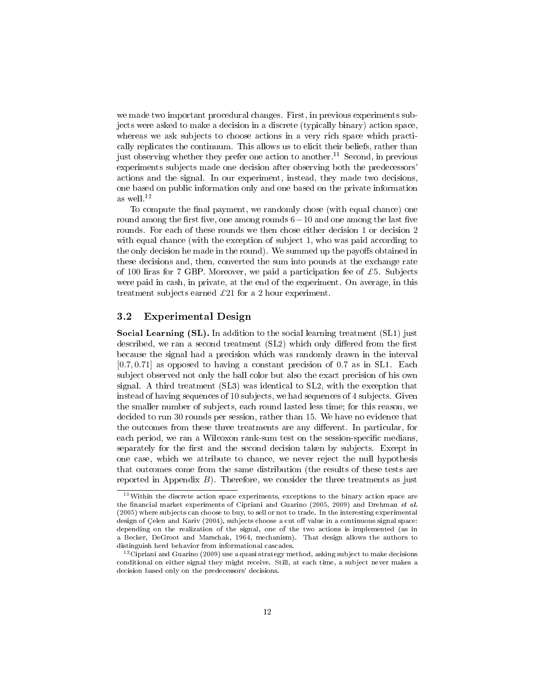we made two important procedural changes. First, in previous experiments subjects were asked to make a decision in a discrete (typically binary) action space, whereas we ask subjects to choose actions in a very rich space which practically replicates the continuum. This allows us to elicit their beliefs, rather than just observing whether they prefer one action to another.<sup>11</sup> Second, in previous experiments subjects made one decision after observing both the predecessors' actions and the signal. In our experiment, instead, they made two decisions, one based on public information only and one based on the private information as well.<sup>12</sup>

To compute the final payment, we randomly chose (with equal chance) one round among the first five, one among rounds  $6-10$  and one among the last five rounds. For each of these rounds we then chose either decision 1 or decision 2 with equal chance (with the exception of subject 1, who was paid according to the only decision he made in the round). We summed up the payoffs obtained in these decisions and, then, converted the sum into pounds at the exchange rate of 100 liras for 7 GBP. Moreover, we paid a participation fee of £5. Subjects were paid in cash, in private, at the end of the experiment. On average, in this treatment subjects earned  $\pounds 21$  for a 2 hour experiment.

#### 3.2 Experimental Design

Social Learning (SL). In addition to the social learning treatment (SL1) just described, we ran a second treatment  $(SL2)$  which only differed from the first because the signal had a precision which was randomly drawn in the interval [0.7, 0.71] as opposed to having a constant precision of 0.7 as in SL1. Each subject observed not only the ball color but also the exact precision of his own signal. A third treatment (SL3) was identical to SL2, with the exception that instead of having sequences of 10 subjects, we had sequences of 4 subjects. Given the smaller number of subjects, each round lasted less time; for this reason, we decided to run 30 rounds per session, rather than 15. We have no evidence that the outcomes from these three treatments are any different. In particular, for each period, we ran a Wilcoxon rank-sum test on the session-specific medians, separately for the first and the second decision taken by subjects. Except in one case, which we attribute to chance, we never reject the null hypothesis that outcomes come from the same distribution (the results of these tests are reported in Appendix  $B$ ). Therefore, we consider the three treatments as just

<sup>11</sup>Within the discrete action space experiments, exceptions to the binary action space are the financial market experiments of Cipriani and Guarino (2005, 2009) and Drehman et al. (2005) where subjects can choose to buy, to sell or not to trade. In the interesting experimental design of Çelen and Kariv (2004), subjects choose a cut off value in a continuous signal space: depending on the realization of the signal, one of the two actions is implemented (as in a Becker, DeGroot and Marschak, 1964, mechanism). That design allows the authors to distinguish herd behavior from informational cascades.

 $12$ Cipriani and Guarino (2009) use a quasi strategy method, asking subject to make decisions conditional on either signal they might receive. Still, at each time, a subject never makes a decision based only on the predecessors' decisions.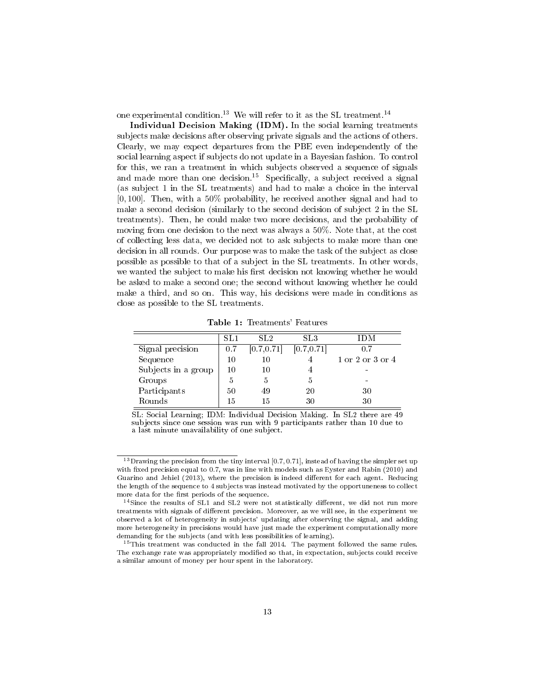one experimental condition.<sup>13</sup> We will refer to it as the SL treatment.<sup>14</sup>

Individual Decision Making (IDM). In the social learning treatments subjects make decisions after observing private signals and the actions of others. Clearly, we may expect departures from the PBE even independently of the social learning aspect if subjects do not update in a Bayesian fashion. To control for this, we ran a treatment in which subjects observed a sequence of signals and made more than one decision.<sup>15</sup> Specifically, a subject received a signal (as subject 1 in the SL treatments) and had to make a choice in the interval [0, 100]. Then, with a 50% probability, he received another signal and had to make a second decision (similarly to the second decision of subject 2 in the SL treatments). Then, he could make two more decisions, and the probability of moving from one decision to the next was always a 50%. Note that, at the cost of collecting less data, we decided not to ask subjects to make more than one decision in all rounds. Our purpose was to make the task of the subject as close possible as possible to that of a subject in the SL treatments. In other words, we wanted the subject to make his first decision not knowing whether he would be asked to make a second one; the second without knowing whether he could make a third, and so on. This way, his decisions were made in conditions as close as possible to the SL treatments.

Table 1: Treatments' Features

|                     | SL1 | SL2         | SL3         | IDM              |
|---------------------|-----|-------------|-------------|------------------|
| Signal precision    | 0.7 | [0.7, 0.71] | [0.7, 0.71] | 0.7              |
| Sequence            |     | 10          |             | 1 or 2 or 3 or 4 |
| Subjects in a group | 10  | 10          |             |                  |
| Groups              | h   | 5           |             |                  |
| Participants        | 50  | 49          | 20          | 30               |
| Rounds              | 15  | 15          | 30          | 30               |

SL: Social Learning; IDM: Individual Decision Making. In SL2 there are 49 subjects since one session was run with 9 participants rather than 10 due to a last minute unavailability of one subject.

<sup>&</sup>lt;sup>13</sup>Drawing the precision from the tiny interval [0.7, 0.71], instead of having the simpler set up with fixed precision equal to 0.7, was in line with models such as Eyster and Rabin  $(2010)$  and Guarino and Jehiel  $(2013)$ , where the precision is indeed different for each agent. Reducing the length of the sequence to 4 subjects was instead motivated by the opportuneness to collect more data for the first periods of the sequence.

 $14$ Since the results of SL1 and SL2 were not statistically different, we did not run more treatments with signals of different precision. Moreover, as we will see, in the experiment we observed a lot of heterogeneity in subjects' updating after observing the signal, and adding more heterogeneity in precisions would have just made the experiment computationally more demanding for the subjects (and with less possibilities of learning).

<sup>&</sup>lt;sup>15</sup>This treatment was conducted in the fall 2014. The payment followed the same rules. The exchange rate was appropriately modified so that, in expectation, subjects could receive a similar amount of money per hour spent in the laboratory.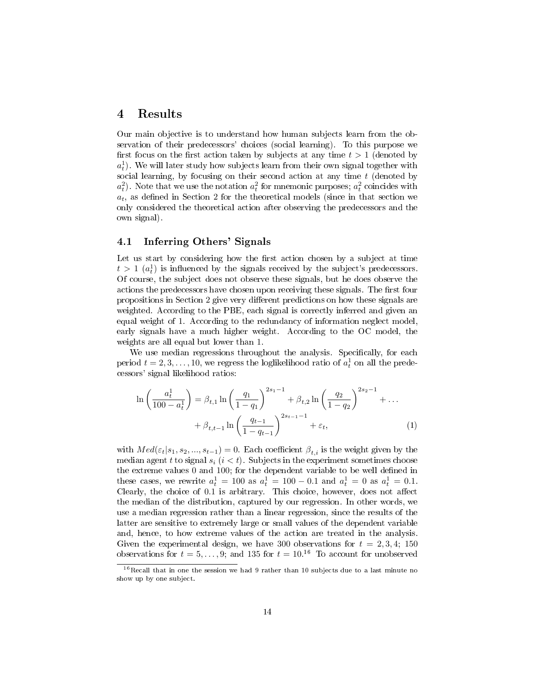#### 4 Results

Our main objective is to understand how human subjects learn from the observation of their predecessors' choices (social learning). To this purpose we first focus on the first action taken by subjects at any time  $t > 1$  (denoted by  $a_t^1$ ). We will later study how subjects learn from their own signal together with social learning, by focusing on their second action at any time  $t$  (denoted by  $a_t^2$ ). Note that we use the notation  $a_t^2$  for mnemonic purposes;  $a_t^2$  coincides with  $a_t$ , as defined in Section 2 for the theoretical models (since in that section we only considered the theoretical action after observing the predecessors and the own signal).

#### 4.1 Inferring Others' Signals

Let us start by considering how the first action chosen by a subject at time  $t > 1$  ( $a_t^1$ ) is influenced by the signals received by the subject's predecessors. Of course, the subject does not observe these signals, but he does observe the actions the predecessors have chosen upon receiving these signals. The first four propositions in Section 2 give very different predictions on how these signals are weighted. According to the PBE, each signal is correctly inferred and given an equal weight of 1. According to the redundancy of information neglect model, early signals have a much higher weight. According to the OC model, the weights are all equal but lower than 1.

We use median regressions throughout the analysis. Specifically, for each period  $t = 2, 3, ..., 10$ , we regress the loglikelihood ratio of  $a_t^1$  on all the predecessors' signal likelihood ratios:

$$
\ln\left(\frac{a_t^1}{100 - a_t^1}\right) = \beta_{t,1} \ln\left(\frac{q_1}{1 - q_1}\right)^{2s_1 - 1} + \beta_{t,2} \ln\left(\frac{q_2}{1 - q_2}\right)^{2s_2 - 1} + \dots
$$

$$
+ \beta_{t,t-1} \ln\left(\frac{q_{t-1}}{1 - q_{t-1}}\right)^{2s_{t-1} - 1} + \varepsilon_t,
$$
(1)

with  $Med(\varepsilon_t|s_1, s_2, ..., s_{t-1}) = 0$ . Each coefficient  $\beta_{t,i}$  is the weight given by the median agent t to signal  $s_i$   $(i < t)$ . Subjects in the experiment sometimes choose the extreme values  $0$  and  $100$ ; for the dependent variable to be well defined in these cases, we rewrite  $a_t^1 = 100$  as  $a_t^1 = 100 - 0.1$  and  $a_t^1 = 0$  as  $a_t^1 = 0.1$ . Clearly, the choice of  $0.1$  is arbitrary. This choice, however, does not affect the median of the distribution, captured by our regression. In other words, we use a median regression rather than a linear regression, since the results of the latter are sensitive to extremely large or small values of the dependent variable and, hence, to how extreme values of the action are treated in the analysis. Given the experimental design, we have 300 observations for  $t = 2, 3, 4; 150$ observations for  $t = 5, \ldots, 9$ ; and 135 for  $t = 10^{16}$  To account for unobserved

 $16$ Recall that in one the session we had 9 rather than 10 subjects due to a last minute no show up by one subject.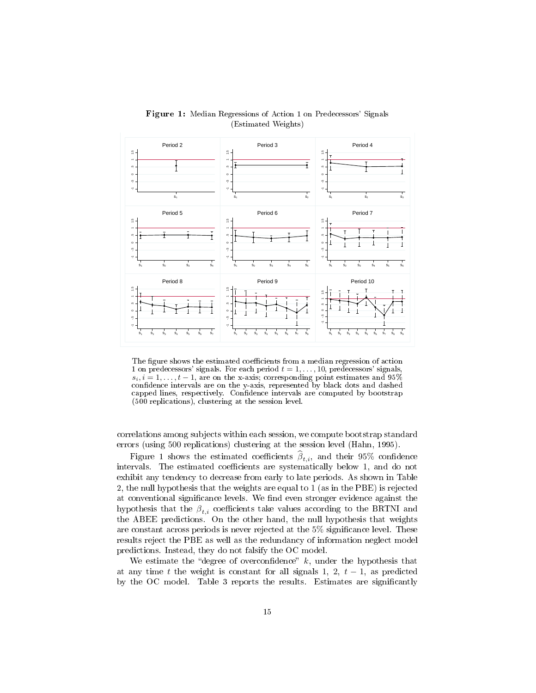

Figure 1: Median Regressions of Action 1 on Predecessors' Signals (Estimated Weights)

The figure shows the estimated coefficients from a median regression of action 1 on predecessors' signals. For each period  $t = 1, \ldots, 10$ , predecessors' signals,  $s_i, i = 1, \ldots, t-1$ , are on the x-axis; corresponding point estimates and 95% confidence intervals are on the y-axis, represented by black dots and dashed capped lines, respectively. Confidence intervals are computed by bootstrap (500 replications), clustering at the session level.

correlations among subjects within each session, we compute bootstrap standard errors (using 500 replications) clustering at the session level (Hahn, 1995).

Figure 1 shows the estimated coefficients  $\beta_{t,i}$ , and their 95% confidence intervals. The estimated coefficients are systematically below 1, and do not exhibit any tendency to decrease from early to late periods. As shown in Table 2, the null hypothesis that the weights are equal to 1 (as in the PBE) is rejected at conventional significance levels. We find even stronger evidence against the hypothesis that the  $\beta_{t,i}$  coefficients take values according to the BRTNI and the ABEE predictions. On the other hand, the null hypothesis that weights are constant across periods is never rejected at the 5% signicance level. These results reject the PBE as well as the redundancy of information neglect model predictions. Instead, they do not falsify the OC model.

We estimate the "degree of overconfidence"  $k$ , under the hypothesis that at any time t the weight is constant for all signals 1, 2,  $t-1$ , as predicted by the OC model. Table 3 reports the results. Estimates are significantly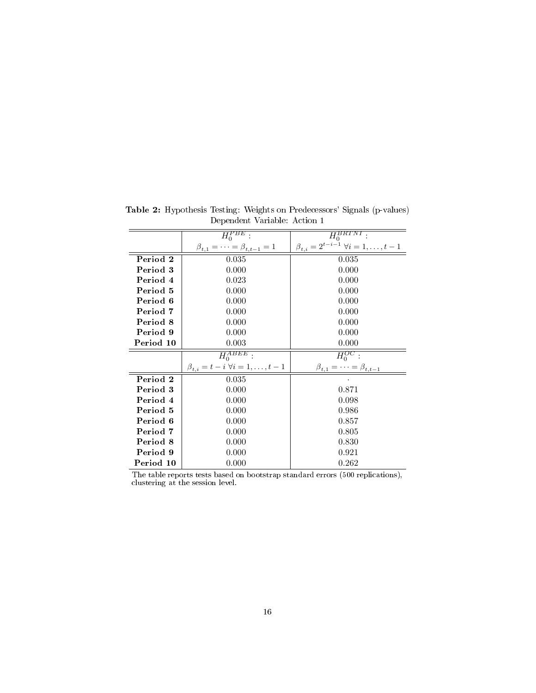|           | $\overline{H_0^{PBE}}$                     | $\overline{H_0^{BRTNT}}$ .                              |
|-----------|--------------------------------------------|---------------------------------------------------------|
|           | $\beta_{t,1} = \cdots = \beta_{t,t-1} = 1$ | $\beta_{t,i} = 2^{t-i-1} \; \forall i = 1, \ldots, t-1$ |
| Period 2  | 0.035                                      | 0.035                                                   |
| Period 3  | 0.000                                      | 0.000                                                   |
| Period 4  | 0.023                                      | 0.000                                                   |
| Period 5  | 0.000                                      | 0.000                                                   |
| Period 6  | 0.000                                      | 0.000                                                   |
| Period 7  | 0.000                                      | 0.000                                                   |
| Period 8  | 0.000                                      | 0.000                                                   |
| Period 9  | 0.000                                      | 0.000                                                   |
| Period 10 | 0.003                                      | 0.000                                                   |
|           | $H_0^{ABEE}$                               | $H_0^{OC}$ :                                            |
|           | $\beta_{t,i}=t-i \ \forall i=1,\ldots,t-1$ | $\beta_{t,1} = \cdots = \beta_{t,t-1}$                  |
| Period 2  | 0.035                                      |                                                         |
| Period 3  | 0.000                                      | 0.871                                                   |
| Period 4  | 0.000                                      | 0.098                                                   |
| Period 5  | 0.000                                      | 0.986                                                   |
| Period 6  | 0.000                                      | 0.857                                                   |
| Period 7  | 0.000                                      | 0.805                                                   |
| Period 8  | 0.000                                      | 0.830                                                   |
| Period 9  | 0.000                                      | 0.921                                                   |
| Period 10 | 0.000                                      | 0.262                                                   |

Table 2: Hypothesis Testing: Weights on Predecessors' Signals (p-values) Dependent Variable: Action 1

The table reports tests based on bootstrap standard errors (500 replications), clustering at the session level.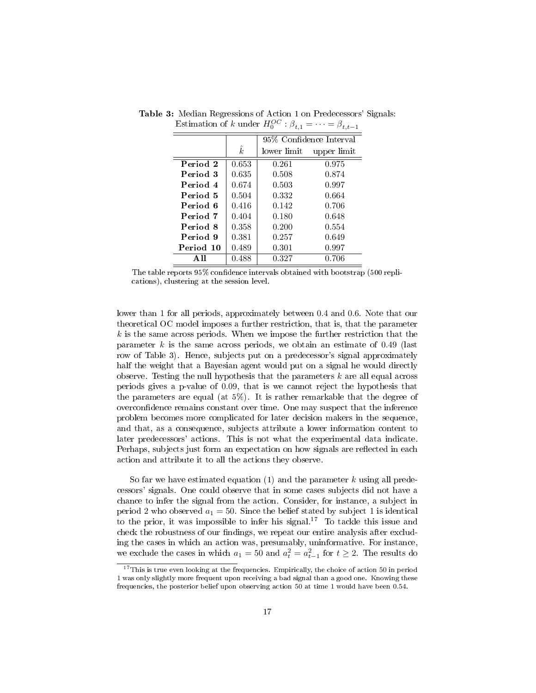|           |           | 95% Confidence Interval |             |
|-----------|-----------|-------------------------|-------------|
|           | $\hat{k}$ | lower limit             | upper limit |
| Period 2  | 0.653     | 0.261                   | 0.975       |
| Period 3  | 0.635     | 0.508                   | 0.874       |
| Period 4  | 0.674     | 0.503                   | 0.997       |
| Period 5  | 0.504     | 0.332                   | 0.664       |
| Period 6  | 0.416     | 0.142                   | 0.706       |
| Period 7  | 0.404     | 0.180                   | 0.648       |
| Period 8  | 0.358     | 0.200                   | 0.554       |
| Period 9  | 0.381     | 0.257                   | 0.649       |
| Period 10 | 0.489     | 0.301                   | 0.997       |
| A 11      | 0.488     | 0.327                   | 0.706       |

Table 3: Median Regressions of Action 1 on Predecessors' Signals: Estimation of k under  $H_0^{OC}$  :  $\beta_{t,1} = \cdots = \beta_{t,t-1}$ 

The table reports 95% confidence intervals obtained with bootstrap (500 replications), clustering at the session level.

lower than 1 for all periods, approximately between 0.4 and 0.6. Note that our theoretical OC model imposes a further restriction, that is, that the parameter  $k$  is the same across periods. When we impose the further restriction that the parameter  $k$  is the same across periods, we obtain an estimate of 0.49 (last row of Table 3). Hence, subjects put on a predecessor's signal approximately half the weight that a Bayesian agent would put on a signal he would directly observe. Testing the null hypothesis that the parameters  $k$  are all equal across periods gives a p-value of 0.09, that is we cannot reject the hypothesis that the parameters are equal (at  $5\%$ ). It is rather remarkable that the degree of overconfidence remains constant over time. One may suspect that the inference problem becomes more complicated for later decision makers in the sequence, and that, as a consequence, subjects attribute a lower information content to later predecessors' actions. This is not what the experimental data indicate. Perhaps, subjects just form an expectation on how signals are reflected in each action and attribute it to all the actions they observe.

So far we have estimated equation  $(1)$  and the parameter k using all predecessors' signals. One could observe that in some cases subjects did not have a chance to infer the signal from the action. Consider, for instance, a subject in period 2 who observed  $a_1 = 50$ . Since the belief stated by subject 1 is identical to the prior, it was impossible to infer his signal.<sup>17</sup> To tackle this issue and check the robustness of our findings, we repeat our entire analysis after excluding the cases in which an action was, presumably, uninformative. For instance, we exclude the cases in which  $a_1 = 50$  and  $a_t^2 = a_{t-1}^2$  for  $t \ge 2$ . The results do

 $17$ This is true even looking at the frequencies. Empirically, the choice of action 50 in period 1 was only slightly more frequent upon receiving a bad signal than a good one. Knowing these frequencies, the posterior belief upon observing action 50 at time 1 would have been 0.54.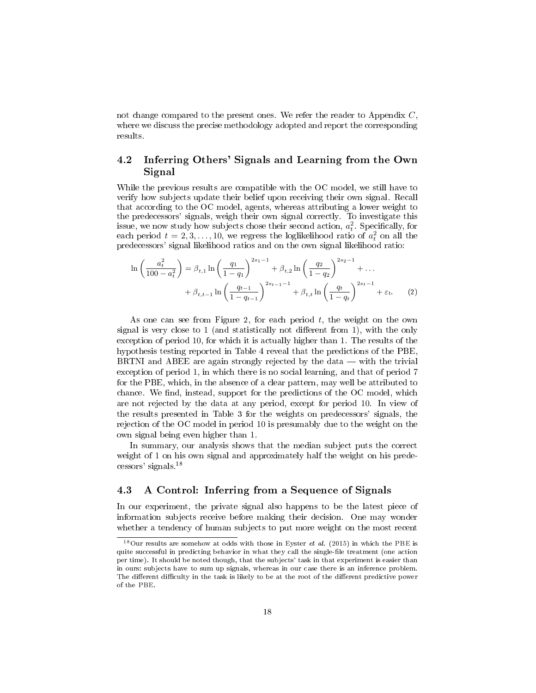not change compared to the present ones. We refer the reader to Appendix C, where we discuss the precise methodology adopted and report the corresponding results.

#### 4.2 Inferring Others' Signals and Learning from the Own Signal

While the previous results are compatible with the OC model, we still have to verify how subjects update their belief upon receiving their own signal. Recall that according to the OC model, agents, whereas attributing a lower weight to the predecessors' signals, weigh their own signal correctly. To investigate this issue, we now study how subjects chose their second action,  $a_t^2$ . Specifically, for each period  $t = 2, 3, ..., 10$ , we regress the loglikelihood ratio of  $a_t^2$  on all the predecessors' signal likelihood ratios and on the own signal likelihood ratio:

$$
\ln\left(\frac{a_t^2}{100-a_t^2}\right) = \beta_{t,1} \ln\left(\frac{q_1}{1-q_1}\right)^{2s_1-1} + \beta_{t,2} \ln\left(\frac{q_2}{1-q_2}\right)^{2s_2-1} + \dots
$$

$$
+ \beta_{t,t-1} \ln\left(\frac{q_{t-1}}{1-q_{t-1}}\right)^{2s_{t-1}-1} + \beta_{t,t} \ln\left(\frac{q_t}{1-q_t}\right)^{2s_t-1} + \varepsilon_t.
$$
 (2)

As one can see from Figure 2, for each period  $t$ , the weight on the own signal is very close to 1 (and statistically not different from 1), with the only exception of period 10, for which it is actually higher than 1. The results of the hypothesis testing reported in Table 4 reveal that the predictions of the PBE, BRTNI and ABEE are again strongly rejected by the data  $-$  with the trivial exception of period 1, in which there is no social learning, and that of period 7 for the PBE, which, in the absence of a clear pattern, may well be attributed to chance. We find, instead, support for the predictions of the OC model, which are not rejected by the data at any period, except for period 10. In view of the results presented in Table 3 for the weights on predecessors' signals, the rejection of the OC model in period 10 is presumably due to the weight on the own signal being even higher than 1.

In summary, our analysis shows that the median subject puts the correct weight of 1 on his own signal and approximately half the weight on his predecessors' signals.<sup>18</sup>

#### 4.3 A Control: Inferring from a Sequence of Signals

In our experiment, the private signal also happens to be the latest piece of information subjects receive before making their decision. One may wonder whether a tendency of human subjects to put more weight on the most recent

 $18$ Our results are somehow at odds with those in Eyster *et al.* (2015) in which the PBE is quite successful in predicting behavior in what they call the single-file treatment (one action per time). It should be noted though, that the subjects' task in that experiment is easier than in ours: subjects have to sum up signals, whereas in our case there is an inference problem. The different difficulty in the task is likely to be at the root of the different predictive power of the PBE.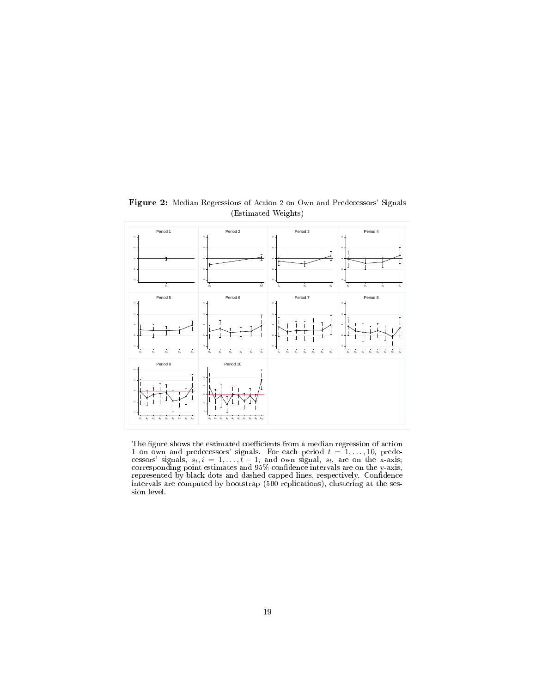

Figure 2: Median Regressions of Action 2 on Own and Predecessors' Signals (Estimated Weights)

The figure shows the estimated coefficients from a median regression of action 1 on own and predecessors' signals. For each period  $t = 1, \ldots, 10$ , predecessors' signals,  $s_i, i = 1, \ldots, t - 1$ , and own signal,  $s_t$ , are on the x-axis; corresponding point estimates and 95% confidence intervals are on the y-axis, represented by black dots and dashed capped lines, respectively. Confidence intervals are computed by bootstrap (500 replications), clustering at the session level.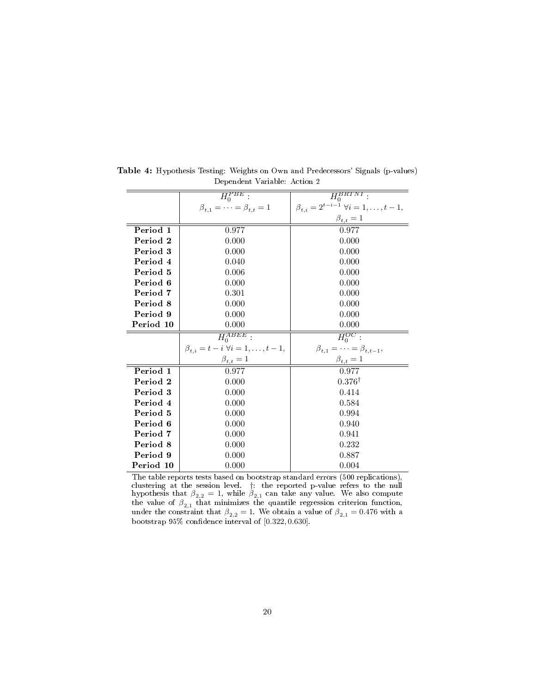|           | $H_0^{PBE}$ :                                          | $\overline{H_0^{BRTNI}}$ :                               |
|-----------|--------------------------------------------------------|----------------------------------------------------------|
|           |                                                        |                                                          |
|           | $\beta_{t,1} = \cdots = \beta_{t,t} = 1$               | $\beta_{t,i} = 2^{t-i-1} \; \forall i = 1, \ldots, t-1,$ |
|           |                                                        | $\beta_{t,t}=1$                                          |
| Period 1  | 0.977                                                  | 0.977                                                    |
| Period 2  | 0.000                                                  | 0.000                                                    |
| Period 3  | 0.000                                                  | 0.000                                                    |
| Period 4  | 0.040                                                  | 0.000                                                    |
| Period 5  | 0.006                                                  | 0.000                                                    |
| Period 6  | 0.000                                                  | 0.000                                                    |
| Period 7  | 0.301                                                  | 0.000                                                    |
| Period 8  | 0.000                                                  | 0.000                                                    |
| Period 9  | 0.000                                                  | 0.000                                                    |
| Period 10 | 0.000                                                  | 0.000                                                    |
|           | $H_0^{ABEE}$ :                                         | $H_0^{OC}$ :                                             |
|           | $\beta_{t,i} = t - i \; \forall i = 1, \ldots, t - 1,$ | $\beta_{t,1} = \cdots = \beta_{t,t-1},$                  |
|           | $\beta_{t,t}=1$                                        | $\beta_{t,t}=1$                                          |
| Period 1  | 0.977                                                  | 0.977                                                    |
| Period 2  | 0.000                                                  | $0.376^{\dagger}$                                        |
| Period 3  | 0.000                                                  | 0.414                                                    |
| Period 4  | 0.000                                                  | 0.584                                                    |
| Period 5  | 0.000                                                  | 0.994                                                    |
| Period 6  | 0.000                                                  | 0.940                                                    |
| Period 7  | 0.000                                                  | 0.941                                                    |
| Period 8  | 0.000                                                  | 0.232                                                    |
| Period 9  | 0.000                                                  | 0.887                                                    |
| Period 10 | 0.000                                                  | 0.004                                                    |

Table 4: Hypothesis Testing: Weights on Own and Predecessors' Signals (p-values) Dependent Variable: Action 2

The table reports tests based on bootstrap standard errors (500 replications), clustering at the session level. †: the reported p-value refers to the null hypothesis that  $\beta_{2,2} = 1$ , while  $\beta_{2,1}$  can take any value. We also compute the value of  $\beta_{2,1}$  that minimizes the quantile regression criterion function, under the constraint that  $\beta_{2,2} = 1$ . We obtain a value of  $\beta_{2,1} = 0.476$  with a bootstrap  $95\%$  confidence interval of  $[0.322, 0.630]$ .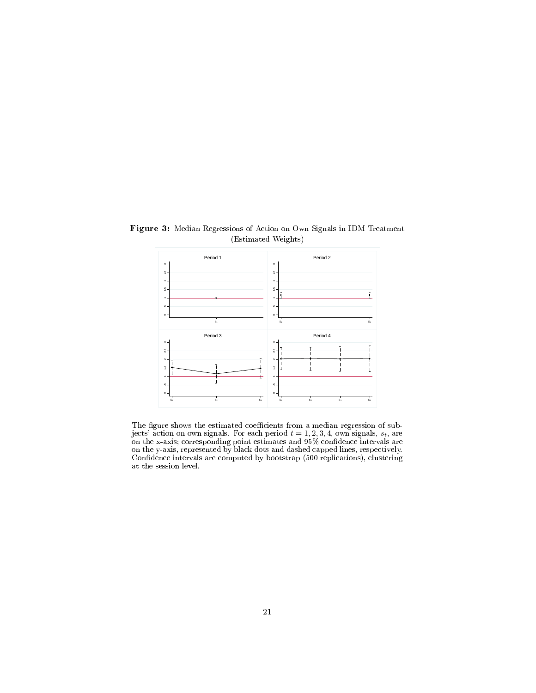

Figure 3: Median Regressions of Action on Own Signals in IDM Treatment (Estimated Weights)

The figure shows the estimated coefficients from a median regression of subjects' action on own signals. For each period  $t = 1, 2, 3, 4$ , own signals,  $s_t$ , are on the x-axis; corresponding point estimates and 95% confidence intervals are on the y-axis, represented by black dots and dashed capped lines, respectively. Confidence intervals are computed by bootstrap (500 replications), clustering at the session level.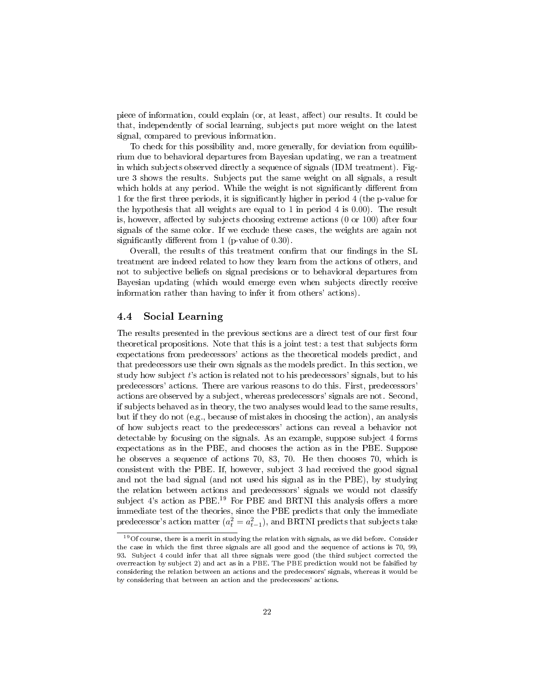piece of information, could explain (or, at least, affect) our results. It could be that, independently of social learning, subjects put more weight on the latest signal, compared to previous information.

To check for this possibility and, more generally, for deviation from equilibrium due to behavioral departures from Bayesian updating, we ran a treatment in which subjects observed directly a sequence of signals (IDM treatment). Figure 3 shows the results. Subjects put the same weight on all signals, a result which holds at any period. While the weight is not significantly different from 1 for the first three periods, it is significantly higher in period 4 (the p-value for the hypothesis that all weights are equal to 1 in period 4 is 0.00). The result is, however, affected by subjects choosing extreme actions  $(0 \text{ or } 100)$  after four signals of the same color. If we exclude these cases, the weights are again not significantly different from  $1$  (p-value of 0.30).

Overall, the results of this treatment confirm that our findings in the SL treatment are indeed related to how they learn from the actions of others, and not to subjective beliefs on signal precisions or to behavioral departures from Bayesian updating (which would emerge even when subjects directly receive information rather than having to infer it from others' actions).

#### 4.4 Social Learning

The results presented in the previous sections are a direct test of our first four theoretical propositions. Note that this is a joint test: a test that subjects form expectations from predecessors' actions as the theoretical models predict, and that predecessors use their own signals as the models predict. In this section, we study how subject  $t$ 's action is related not to his predecessors' signals, but to his predecessors' actions. There are various reasons to do this. First, predecessors' actions are observed by a subject, whereas predecessors' signals are not. Second, if subjects behaved as in theory, the two analyses would lead to the same results, but if they do not (e.g., because of mistakes in choosing the action), an analysis of how subjects react to the predecessors' actions can reveal a behavior not detectable by focusing on the signals. As an example, suppose subject 4 forms expectations as in the PBE, and chooses the action as in the PBE. Suppose he observes a sequence of actions 70, 83, 70. He then chooses 70, which is consistent with the PBE. If, however, subject 3 had received the good signal and not the bad signal (and not used his signal as in the PBE), by studying the relation between actions and predecessors' signals we would not classify subject 4's action as PBE.<sup>19</sup> For PBE and BRTNI this analysis offers a more immediate test of the theories, since the PBE predicts that only the immediate predecessor's action matter  $(a_t^2 = a_{t-1}^2)$ , and BRTNI predicts that subjects take

<sup>19</sup>Of course, there is a merit in studying the relation with signals, as we did before. Consider the case in which the first three signals are all good and the sequence of actions is 70, 99, 93. Subject 4 could infer that all three signals were good (the third subject corrected the overreaction by subject 2) and act as in a PBE. The PBE prediction would not be falsified by considering the relation between an actions and the predecessors' signals, whereas it would be by considering that between an action and the predecessors' actions.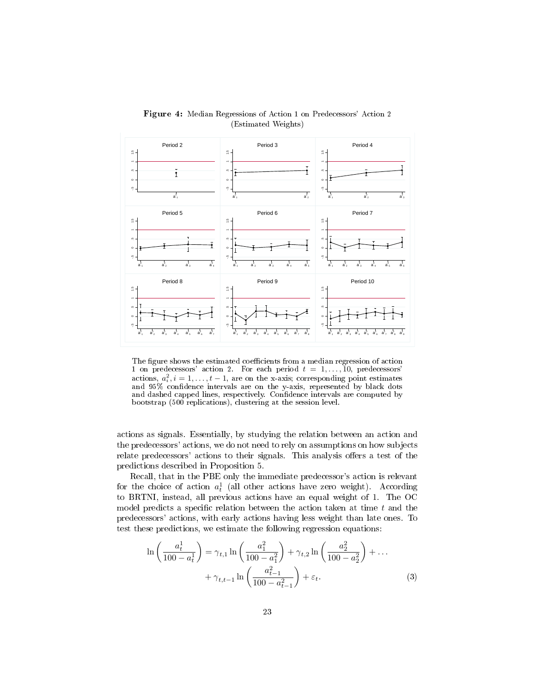

Figure 4: Median Regressions of Action 1 on Predecessors' Action 2 (Estimated Weights)

The figure shows the estimated coefficients from a median regression of action 1 on predecessors' action 2. For each period  $t = 1, \ldots, 10$ , predecessors' actions,  $a_i^2$ ,  $i = 1, ..., t - 1$ , are on the x-axis; corresponding point estimates and 95% confidence intervals are on the y-axis, represented by black dots and dashed capped lines, respectively. Confidence intervals are computed by bootstrap (500 replications), clustering at the session level.

actions as signals. Essentially, by studying the relation between an action and the predecessors' actions, we do not need to rely on assumptions on how subjects relate predecessors' actions to their signals. This analysis offers a test of the predictions described in Proposition 5.

Recall, that in the PBE only the immediate predecessor's action is relevant for the choice of action  $a_t^1$  (all other actions have zero weight). According to BRTNI, instead, all previous actions have an equal weight of 1. The OC model predicts a specific relation between the action taken at time  $t$  and the predecessors' actions, with early actions having less weight than late ones. To test these predictions, we estimate the following regression equations:

$$
\ln\left(\frac{a_t^1}{100 - a_t^1}\right) = \gamma_{t,1} \ln\left(\frac{a_1^2}{100 - a_1^2}\right) + \gamma_{t,2} \ln\left(\frac{a_2^2}{100 - a_2^2}\right) + \dots
$$

$$
+ \gamma_{t,t-1} \ln\left(\frac{a_{t-1}^2}{100 - a_{t-1}^2}\right) + \varepsilon_t.
$$
 (3)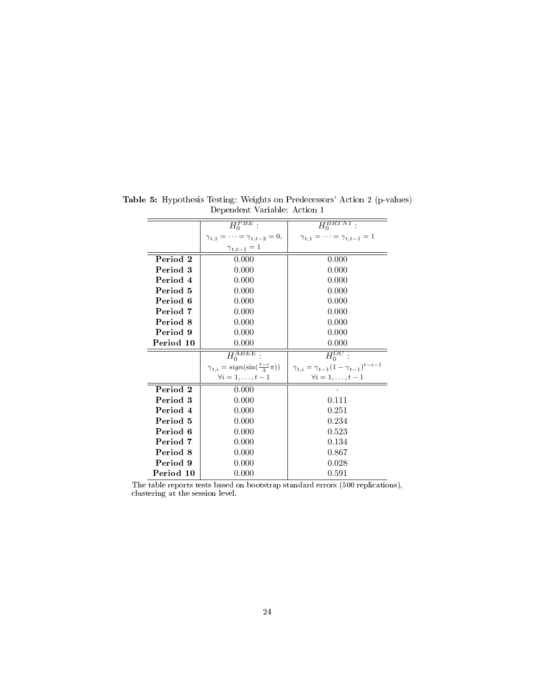|           | $H_0^{PBE}$ :                                 | $\overline{H_0^{BRTNI}}$ :                               |  |
|-----------|-----------------------------------------------|----------------------------------------------------------|--|
|           | $\gamma_{t,1} = \cdots = \gamma_{t,t-2} = 0,$ | $\gamma_{t,1} = \cdots = \gamma_{t,t-1} = 1$             |  |
|           | $\gamma_{t,t-1}=1$                            |                                                          |  |
| Period 2  | 0.000                                         | 0.000                                                    |  |
| Period 3  | 0.000                                         | 0.000                                                    |  |
| Period 4  | 0.000                                         | 0.000                                                    |  |
| Period 5  | 0.000                                         | 0.000                                                    |  |
| Period 6  | 0.000                                         | 0.000                                                    |  |
| Period 7  | 0.000                                         | 0.000                                                    |  |
| Period 8  | 0.000                                         | 0.000                                                    |  |
| Period 9  | 0.000                                         | 0.000                                                    |  |
| Period 10 | 0.000                                         | 0.000                                                    |  |
|           |                                               |                                                          |  |
|           | $H_0^{ABEE}$                                  | $H_0^{OC}$ :                                             |  |
|           | $\gamma_{t,i} = sign(\sin(\frac{t-i}{3}\pi))$ | $\gamma_{t,i} = \gamma_{t-1} (1 - \gamma_{t-1})^{t-i-1}$ |  |
|           | $\forall i=1,\ldots,t-1$                      | $\forall i=1,\ldots,t-1$                                 |  |
| Period 2  | 0.000                                         |                                                          |  |
| Period 3  | 0.000                                         | 0.111                                                    |  |
| Period 4  | 0.000                                         | 0.251                                                    |  |
| Period 5  | 0.000                                         | 0.234                                                    |  |
| Period 6  | 0.000                                         | 0.523                                                    |  |
| Period 7  | 0.000                                         | 0.134                                                    |  |
| Period 8  | 0.000                                         | 0.867                                                    |  |
| Period 9  | 0.000                                         | 0.028                                                    |  |

Table 5: Hypothesis Testing: Weights on Predecessors' Action 2 (p-values) Dependent Variable: Action 1

The table reports tests based on bootstrap standard errors (500 replications), clustering at the session level.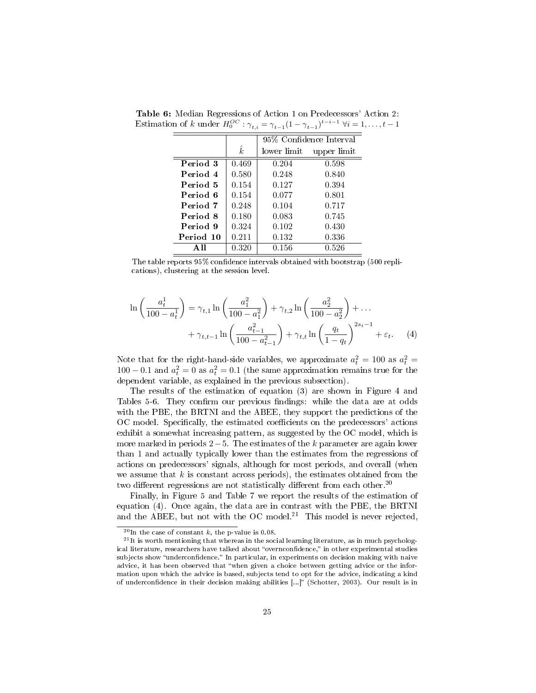|           |           | 95% Confidence Interval |             |
|-----------|-----------|-------------------------|-------------|
|           | $\hat{k}$ | lower limit             | upper limit |
| Period 3  | 0.469     | 0.204                   | 0.598       |
| Period 4  | 0.580     | 0.248                   | 0.840       |
| Period 5  | 0.154     | 0.127                   | 0.394       |
| Period 6  | 0.154     | 0.077                   | 0.801       |
| Period 7  | 0.248     | 0.104                   | 0.717       |
| Period 8  | 0.180     | 0.083                   | 0.745       |
| Period 9  | 0.324     | 0.102                   | 0.430       |
| Period 10 | 0.211     | 0.132                   | 0.336       |
| A II      | 0.320     | 0.156                   | 0.526       |

Table 6: Median Regressions of Action 1 on Predecessors' Action 2: Estimation of k under  $H_0^{OC}$ :  $\gamma_{t,i} = \gamma_{t-1} (1 - \gamma_{t-1})^{t-i-1}$   $\forall i = 1, ..., t-1$ 

The table reports 95% confidence intervals obtained with bootstrap (500 replications), clustering at the session level.

$$
\ln\left(\frac{a_t^1}{100 - a_t^1}\right) = \gamma_{t,1} \ln\left(\frac{a_1^2}{100 - a_1^2}\right) + \gamma_{t,2} \ln\left(\frac{a_2^2}{100 - a_2^2}\right) + \dots + \gamma_{t,t-1} \ln\left(\frac{a_{t-1}^2}{100 - a_{t-1}^2}\right) + \gamma_{t,t} \ln\left(\frac{q_t}{1 - q_t}\right)^{2s_t - 1} + \varepsilon_t.
$$
 (4)

Note that for the right-hand-side variables, we approximate  $a_t^2 = 100$  as  $a_t^2 =$  $100 - 0.1$  and  $a_t^2 = 0$  as  $a_t^2 = 0.1$  (the same approximation remains true for the dependent variable, as explained in the previous subsection).

The results of the estimation of equation (3) are shown in Figure 4 and Tables 5-6. They confirm our previous findings: while the data are at odds with the PBE, the BRTNI and the ABEE, they support the predictions of the OC model. Specifically, the estimated coefficients on the predecessors' actions exhibit a somewhat increasing pattern, as suggested by the OC model, which is more marked in periods  $2-5$ . The estimates of the k parameter are again lower than 1 and actually typically lower than the estimates from the regressions of actions on predecessors' signals, although for most periods, and overall (when we assume that  $k$  is constant across periods), the estimates obtained from the two different regressions are not statistically different from each other.<sup>20</sup>

Finally, in Figure 5 and Table 7 we report the results of the estimation of equation (4). Once again, the data are in contrast with the PBE, the BRTNI and the ABEE, but not with the OC model.<sup>21</sup> This model is never rejected,

 $^{20}$ In the case of constant k, the p-value is 0.08.

 $^{21}$ It is worth mentioning that whereas in the social learning literature, as in much psychological literature, researchers have talked about "overnconfidence," in other experimental studies subjects show "underconfidence." In particular, in experiments on decision making with naive advice, it has been observed that when given a choice between getting advice or the information upon which the advice is based, subjects tend to opt for the advice, indicating a kind of underconfidence in their decision making abilities [...]" (Schotter, 2003). Our result is in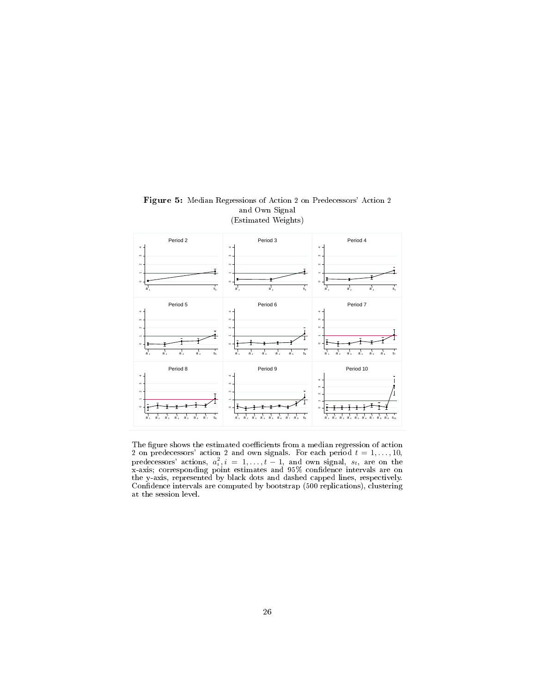

Figure 5: Median Regressions of Action 2 on Predecessors' Action 2 and Own Signal (Estimated Weights)

The figure shows the estimated coefficients from a median regression of action 2 on predecessors' action 2 and own signals. For each period  $t = 1, \ldots, 10$ , predecessors' actions,  $a_i^2$ ,  $i = 1, ..., t - 1$ , and own signal,  $s_t$ , are on the x-axis; corresponding point estimates and 95% condence intervals are on the y-axis, represented by black dots and dashed capped lines, respectively. Confidence intervals are computed by bootstrap (500 replications), clustering at the session level.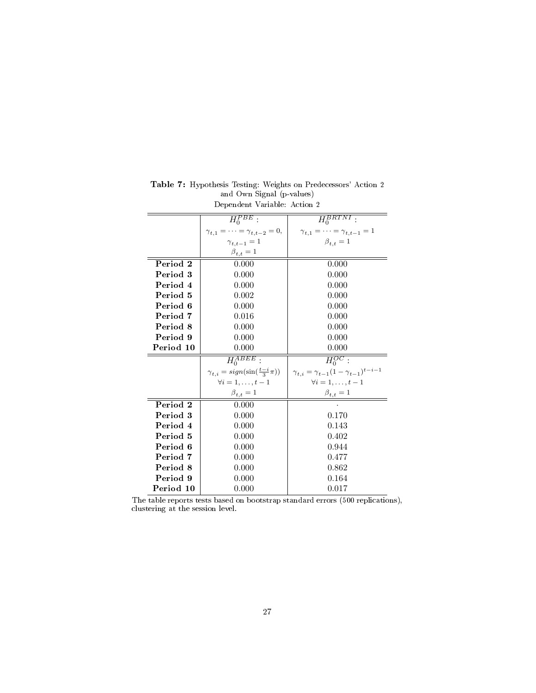|           | $H_0^{PBE}$ :                                 | $\overline{H_0^{BRTNI}}$ :                               |  |
|-----------|-----------------------------------------------|----------------------------------------------------------|--|
|           | $\gamma_{t,1} = \cdots = \gamma_{t,t-2} = 0,$ | $\gamma_{t,1} = \cdots = \gamma_{t,t-1} = 1$             |  |
|           | $\gamma_{t,t-1}=1$                            | $\bar{\beta}_{t,t}=1$                                    |  |
|           | $\beta_{t,t}=1$                               |                                                          |  |
| Period 2  | 0.000                                         | 0.000                                                    |  |
| Period 3  | 0.000                                         | 0.000                                                    |  |
| Period 4  | 0.000                                         | 0.000                                                    |  |
| Period 5  | 0.002                                         | 0.000                                                    |  |
| Period 6  | 0.000                                         | 0.000                                                    |  |
| Period 7  | 0.016                                         | 0.000                                                    |  |
| Period 8  | 0.000                                         | 0.000                                                    |  |
| Period 9  | 0.000                                         | 0.000                                                    |  |
| Period 10 | 0.000                                         | 0.000                                                    |  |
|           | $H_0^{ABEE}$ :                                | $\overline{H_0^{OC}}$ :                                  |  |
|           | $\gamma_{t,i} = sign(\sin(\frac{t-i}{3}\pi))$ | $\gamma_{t,i} = \gamma_{t-1} (1 - \gamma_{t-1})^{t-i-1}$ |  |
|           | $\forall i=1,\ldots,t-1$                      | $\forall i=1,\ldots,t-1$                                 |  |
|           | $\beta_{t,t}=1$                               | $\beta_{t,t}=1$                                          |  |
| Period 2  | 0.000                                         |                                                          |  |
| Period 3  | 0.000                                         | 0.170                                                    |  |
| Period 4  | 0.000                                         | 0.143                                                    |  |
| Period 5  | 0.000                                         | 0.402                                                    |  |
| Period 6  | 0.000                                         | 0.944                                                    |  |
| Period 7  | 0.000                                         | 0.477                                                    |  |
| Period 8  | 0.000                                         | 0.862                                                    |  |
| Period 9  | 0.000                                         | 0.164                                                    |  |
| Period 10 | 0.000                                         | 0.017                                                    |  |

Table 7: Hypothesis Testing: Weights on Predecessors' Action 2 and Own Signal (p-values) Dependent Variable: Action 2

The table reports tests based on bootstrap standard errors (500 replications), clustering at the session level.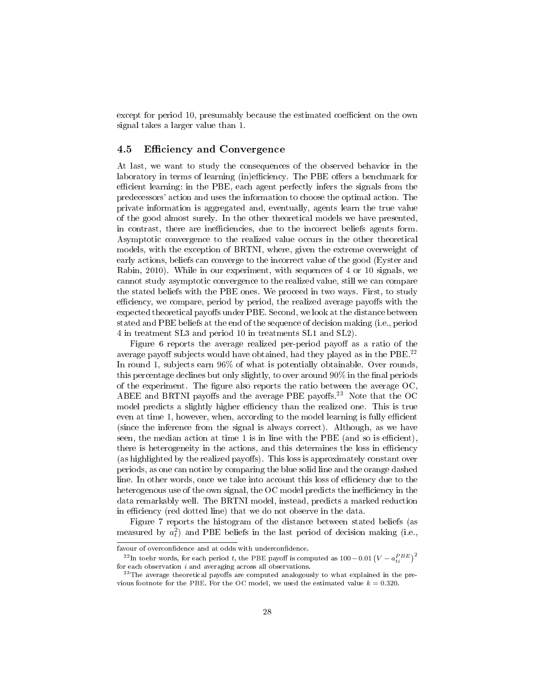except for period 10, presumably because the estimated coefficient on the own signal takes a larger value than 1.

#### 4.5 Efficiency and Convergence

At last, we want to study the consequences of the observed behavior in the laboratory in terms of learning (in)efficiency. The PBE offers a benchmark for efficient learning: in the PBE, each agent perfectly infers the signals from the predecessors' action and uses the information to choose the optimal action. The private information is aggregated and, eventually, agents learn the true value of the good almost surely. In the other theoretical models we have presented, in contrast, there are inefficiencies, due to the incorrect beliefs agents form. Asymptotic convergence to the realized value occurs in the other theoretical models, with the exception of BRTNI, where, given the extreme overweight of early actions, beliefs can converge to the incorrect value of the good (Eyster and Rabin, 2010). While in our experiment, with sequences of 4 or 10 signals, we cannot study asymptotic convergence to the realized value, still we can compare the stated beliefs with the PBE ones. We proceed in two ways. First, to study efficiency, we compare, period by period, the realized average payoffs with the expected theoretical payoffs under PBE. Second, we look at the distance between stated and PBE beliefs at the end of the sequence of decision making (i.e., period 4 in treatment SL3 and period 10 in treatments SL1 and SL2).

Figure 6 reports the average realized per-period payoff as a ratio of the average payoff subjects would have obtained, had they played as in the PBE.<sup>22</sup> In round 1, subjects earn 96% of what is potentially obtainable. Over rounds, this percentage declines but only slightly, to over around  $90\%$  in the final periods of the experiment. The figure also reports the ratio between the average  $OC$ , ABEE and BRTNI payoffs and the average PBE payoffs.<sup>23</sup> Note that the OC model predicts a slightly higher efficiency than the realized one. This is true even at time 1, however, when, according to the model learning is fully efficient (since the inference from the signal is always correct). Although, as we have seen, the median action at time  $1$  is in line with the PBE (and so is efficient), there is heterogeneity in the actions, and this determines the loss in efficiency (as highlighted by the realized payoffs). This loss is approximately constant over periods, as one can notice by comparing the blue solid line and the orange dashed line. In other words, once we take into account this loss of efficiency due to the heterogenous use of the own signal, the OC model predicts the inefficiency in the data remarkably well. The BRTNI model, instead, predicts a marked reduction in efficiency (red dotted line) that we do not observe in the data.

Figure 7 reports the histogram of the distance between stated beliefs (as measured by  $a_t^2$ ) and PBE beliefs in the last period of decision making (i.e.,

favour of overconfidence and at odds with underconfidence.

 $^{22}$ In toehr words, for each period t, the PBE payoff is computed as 100 – 0.01  $\left(V-a_{ti}^{PBE}\right)^2$ for each observation  $i$  and averaging across all observations.

 $^{23}$  The average theoretical payoffs are computed analogously to what explained in the previous footnote for the PBE. For the OC model, we used the estimated value  $k = 0.320$ .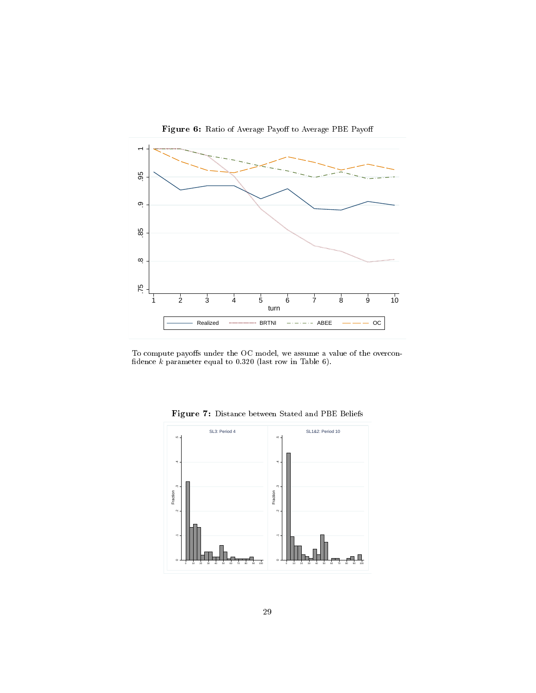

Figure 6: Ratio of Average Payoff to Average PBE Payoff

To compute payoffs under the OC model, we assume a value of the overconfidence  $k$  parameter equal to 0.320 (last row in Table 6).



Figure 7: Distance between Stated and PBE Beliefs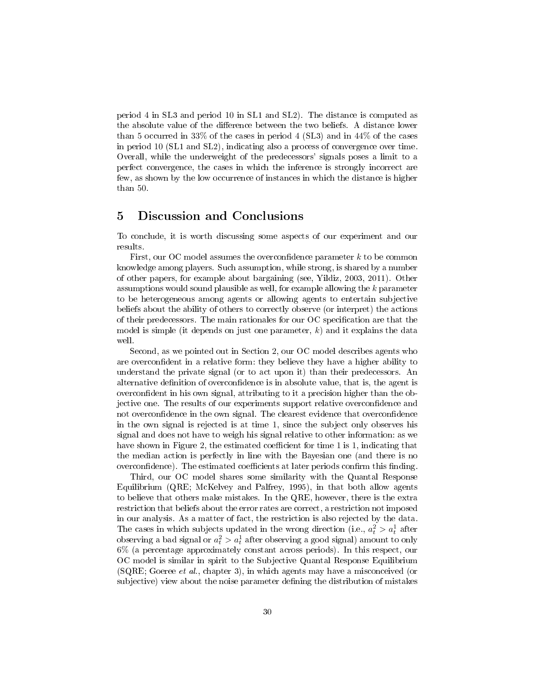period 4 in SL3 and period 10 in SL1 and SL2). The distance is computed as the absolute value of the difference between the two beliefs. A distance lower than 5 occurred in 33% of the cases in period 4 (SL3) and in 44% of the cases in period 10 (SL1 and SL2), indicating also a process of convergence over time. Overall, while the underweight of the predecessors' signals poses a limit to a perfect convergence, the cases in which the inference is strongly incorrect are few, as shown by the low occurrence of instances in which the distance is higher than 50.

#### 5 Discussion and Conclusions

To conclude, it is worth discussing some aspects of our experiment and our results.

First, our OC model assumes the overconfidence parameter  $k$  to be common knowledge among players. Such assumption, while strong, is shared by a number of other papers, for example about bargaining (see, Yildiz, 2003, 2011). Other assumptions would sound plausible as well, for example allowing the k parameter to be heterogeneous among agents or allowing agents to entertain subjective beliefs about the ability of others to correctly observe (or interpret) the actions of their predecessors. The main rationales for our OC specification are that the model is simple (it depends on just one parameter,  $k$ ) and it explains the data well.

Second, as we pointed out in Section 2, our OC model describes agents who are overconfident in a relative form: they believe they have a higher ability to understand the private signal (or to act upon it) than their predecessors. An alternative definition of overconfidence is in absolute value, that is, the agent is overcondent in his own signal, attributing to it a precision higher than the objective one. The results of our experiments support relative overcondence and not overconfidence in the own signal. The clearest evidence that overconfidence in the own signal is rejected is at time 1, since the subject only observes his signal and does not have to weigh his signal relative to other information: as we have shown in Figure 2, the estimated coefficient for time 1 is 1, indicating that the median action is perfectly in line with the Bayesian one (and there is no overconfidence). The estimated coefficients at later periods confirm this finding.

Third, our OC model shares some similarity with the Quantal Response Equilibrium (QRE; McKelvey and Palfrey, 1995), in that both allow agents to believe that others make mistakes. In the QRE, however, there is the extra restriction that beliefs about the error rates are correct, a restriction not imposed in our analysis. As a matter of fact, the restriction is also rejected by the data. The cases in which subjects updated in the wrong direction (i.e.,  $a_t^2 > a_t^1$  after observing a bad signal or  $a_t^2 > a_t^1$  after observing a good signal) amount to only 6% (a percentage approximately constant across periods). In this respect, our OC model is similar in spirit to the Subjective Quantal Response Equilibrium (SQRE; Goeree et al., chapter 3), in which agents may have a misconceived (or subjective) view about the noise parameter defining the distribution of mistakes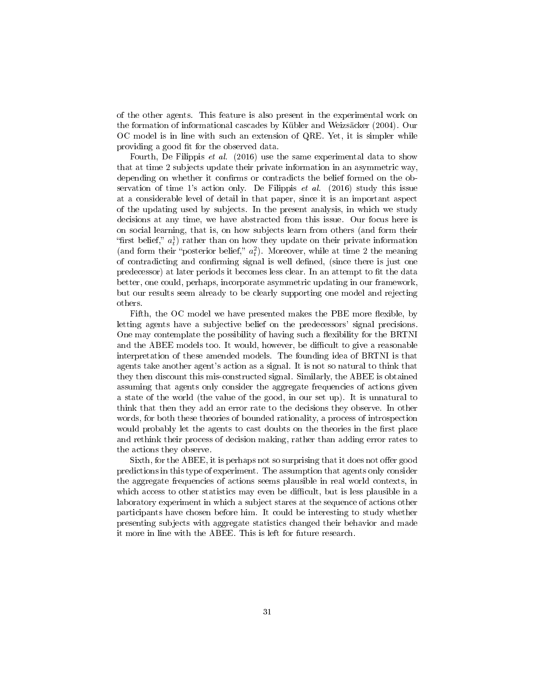of the other agents. This feature is also present in the experimental work on the formation of informational cascades by Kübler and Weizsäcker (2004). Our OC model is in line with such an extension of QRE. Yet, it is simpler while providing a good fit for the observed data.

Fourth, De Filippis et al. (2016) use the same experimental data to show that at time 2 subjects update their private information in an asymmetric way, depending on whether it confirms or contradicts the belief formed on the observation of time 1's action only. De Filippis  $et \ al.$  (2016) study this issue at a considerable level of detail in that paper, since it is an important aspect of the updating used by subjects. In the present analysis, in which we study decisions at any time, we have abstracted from this issue. Our focus here is on social learning, that is, on how subjects learn from others (and form their "first belief,"  $a_t$ ) rather than on how they update on their private information (and form their "posterior belief,"  $a_t^2$ ). Moreover, while at time 2 the meaning of contradicting and confirming signal is well defined, (since there is just one predecessor) at later periods it becomes less clear. In an attempt to fit the data better, one could, perhaps, incorporate asymmetric updating in our framework, but our results seem already to be clearly supporting one model and rejecting others.

Fifth, the OC model we have presented makes the PBE more flexible, by letting agents have a subjective belief on the predecessors' signal precisions. One may contemplate the possibility of having such a flexibility for the BRTNI and the ABEE models too. It would, however, be difficult to give a reasonable interpretation of these amended models. The founding idea of BRTNI is that agents take another agent's action as a signal. It is not so natural to think that they then discount this mis-constructed signal. Similarly, the ABEE is obtained assuming that agents only consider the aggregate frequencies of actions given a state of the world (the value of the good, in our set up). It is unnatural to think that then they add an error rate to the decisions they observe. In other words, for both these theories of bounded rationality, a process of introspection would probably let the agents to cast doubts on the theories in the first place and rethink their process of decision making, rather than adding error rates to the actions they observe.

Sixth, for the ABEE, it is perhaps not so surprising that it does not offer good predictions in this type of experiment. The assumption that agents only consider the aggregate frequencies of actions seems plausible in real world contexts, in which access to other statistics may even be difficult, but is less plausible in a laboratory experiment in which a subject stares at the sequence of actions other participants have chosen before him. It could be interesting to study whether presenting subjects with aggregate statistics changed their behavior and made it more in line with the ABEE. This is left for future research.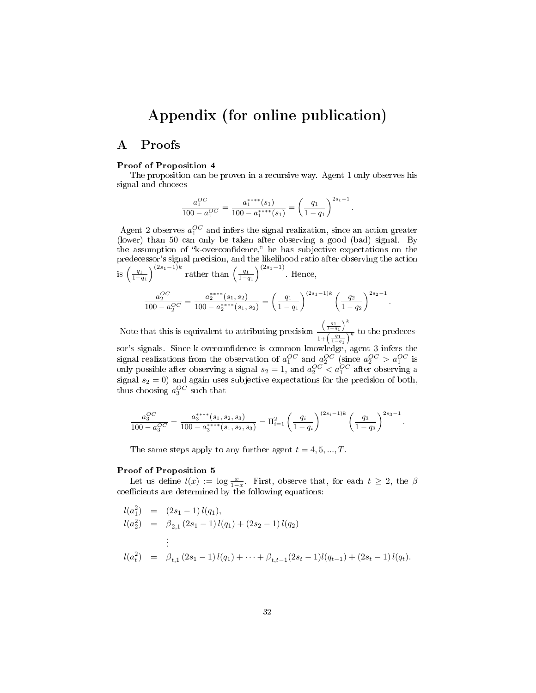## Appendix (for online publication)

#### A Proofs

#### Proof of Proposition 4

The proposition can be proven in a recursive way. Agent 1 only observes his signal and chooses

$$
\frac{a_1^{OC}}{100 - a_1^{OC}} = \frac{a_1^{****}(s_1)}{100 - a_1^{****}(s_1)} = \left(\frac{q_1}{1 - q_1}\right)^{2s_t - 1}.
$$

Agent 2 observes  $a_1^{OC}$  and infers the signal realization, since an action greater (lower) than 50 can only be taken after observing a good (bad) signal. By the assumption of "k-overconfidence," he has subjective expectations on the predecessor's signal precision, and the likelihood ratio after observing the action is  $\left(\frac{q_1}{1-q_1}\right)^{(2s_1-1)k}$  rather than  $\left(\frac{q_1}{1-q_1}\right)^{(2s_1-1)}$ . Hence,

$$
\frac{a_2^{OC}}{100 - a_2^{OC}} = \frac{a_2^{***}(s_1, s_2)}{100 - a_2^{***}(s_1, s_2)} = \left(\frac{q_1}{1 - q_1}\right)^{(2s_1 - 1)k} \left(\frac{q_2}{1 - q_2}\right)^{2s_2 - 1}
$$

.

Note that this is equivalent to attributing precision  $\left(\frac{q_1}{1-q_1}\right)^k$  $\frac{\left(1-q_1\right)}{1+\left(\frac{q_1}{1-q_1}\right)^k}$  to the predeces-

sor's signals. Since k-overconfidence is common knowledge, agent 3 infers the signal realizations from the observation of  $a_1^{OC}$  and  $a_2^{OC}$  (since  $a_2^{OC} > a_1^{OC}$  is only possible after observing a signal  $s_2 = 1$ , and  $a_2^{OC} < a_1^{OC}$  after observing a signal  $s_2 = 0$ ) and again uses subjective expectations for the precision of both, thus choosing  $a_3^{OC}$  such that

$$
\frac{a_3^{OC}}{100 - a_3^{OC}} = \frac{a_3^{****}(s_1, s_2, s_3)}{100 - a_3^{****}(s_1, s_2, s_3)} = \Pi_{i=1}^2 \left(\frac{q_i}{1 - q_i}\right)^{(2s_i - 1)k} \left(\frac{q_3}{1 - q_3}\right)^{2s_3 - 1}.
$$

The same steps apply to any further agent  $t = 4, 5, ..., T$ .

#### Proof of Proposition 5

Let us define  $l(x) := \log \frac{x}{1-x}$ . First, observe that, for each  $t \geq 2$ , the  $\beta$  $coefficients$  are determined by the following equations:

$$
l(a_1^2) = (2s_1 - 1) l(q_1),
$$
  
\n
$$
l(a_2^2) = \beta_{2,1} (2s_1 - 1) l(q_1) + (2s_2 - 1) l(q_2)
$$
  
\n
$$
\vdots
$$
  
\n
$$
l(a_t^2) = \beta_{t,1} (2s_1 - 1) l(q_1) + \dots + \beta_{t,t-1} (2s_t - 1) l(q_{t-1}) + (2s_t - 1) l(q_t).
$$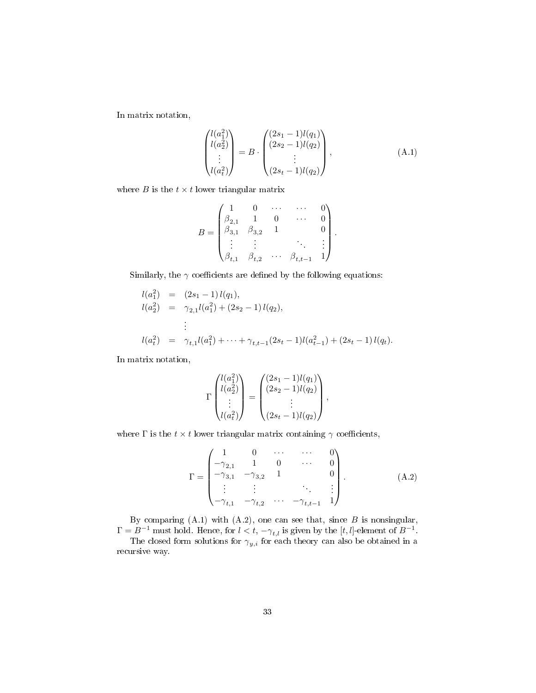In matrix notation,

$$
\begin{pmatrix} l(a_1^2) \\ l(a_2^2) \\ \vdots \\ l(a_t^2) \end{pmatrix} = B \cdot \begin{pmatrix} (2s_1 - 1)l(q_1) \\ (2s_2 - 1)l(q_2) \\ \vdots \\ (2s_t - 1)l(q_2) \end{pmatrix}, \tag{A.1}
$$

where  $B$  is the  $t \times t$  lower triangular matrix

$$
B = \begin{pmatrix} 1 & 0 & \cdots & \cdots & 0 \\ \beta_{2,1} & 1 & 0 & \cdots & 0 \\ \beta_{3,1} & \beta_{3,2} & 1 & & 0 \\ \vdots & \vdots & & & \vdots \\ \beta_{t,1} & \beta_{t,2} & \cdots & \beta_{t,t-1} & 1 \end{pmatrix}.
$$

Similarly, the  $\gamma$  coefficients are defined by the following equations:

$$
l(a_1^2) = (2s_1 - 1) l(q_1),
$$
  
\n
$$
l(a_2^2) = \gamma_{2,1} l(a_1^2) + (2s_2 - 1) l(q_2),
$$
  
\n
$$
\vdots
$$
  
\n
$$
l(a_t^2) = \gamma_{t,1} l(a_1^2) + \dots + \gamma_{t,t-1} (2s_t - 1) l(a_{t-1}^2) + (2s_t - 1) l(q_t).
$$

In matrix notation,

$$
\Gamma\begin{pmatrix}l(a_1^2) \\ l(a_2^2) \\ \vdots \\ l(a_t^2)\end{pmatrix} = \begin{pmatrix} (2s_1 - 1)l(q_1) \\ (2s_2 - 1)l(q_2) \\ \vdots \\ (2s_t - 1)l(q_2)\end{pmatrix},
$$

where  $\Gamma$  is the  $t \times t$  lower triangular matrix containing  $\gamma$  coefficients,

$$
\Gamma = \begin{pmatrix}\n1 & 0 & \cdots & \cdots & 0 \\
-\gamma_{2,1} & 1 & 0 & \cdots & 0 \\
-\gamma_{3,1} & -\gamma_{3,2} & 1 & & 0 \\
\vdots & \vdots & & & \vdots \\
-\gamma_{t,1} & -\gamma_{t,2} & \cdots & -\gamma_{t,t-1} & 1\n\end{pmatrix} .
$$
\n(A.2)

By comparing  $(A.1)$  with  $(A.2)$ , one can see that, since  $B$  is nonsingular,  $\Gamma = B^{-1}$  must hold. Hence, for  $l < t$ ,  $-\gamma_{t,l}$  is given by the  $[t, l]$ -element of  $B^{-1}$ .

The closed form solutions for  $\gamma_{y,i}$  for each theory can also be obtained in a recursive way.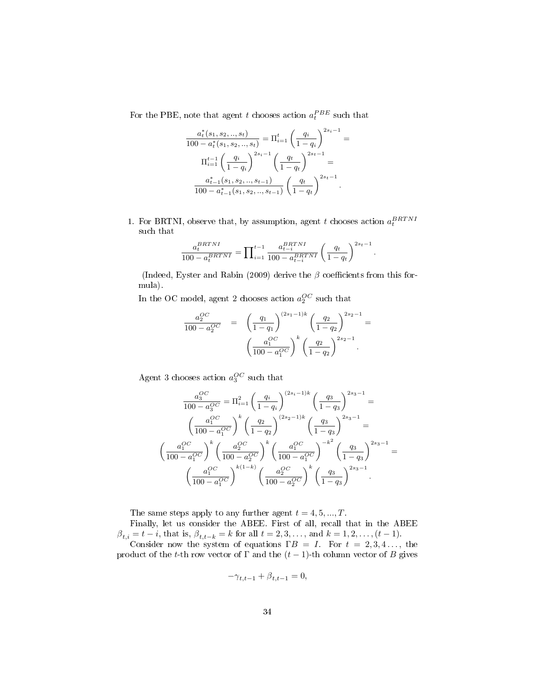For the PBE, note that agent t chooses action  $a_t^{PBE}$  such that

$$
\frac{a_t^*(s_1, s_2, ..., s_t)}{100 - a_t^*(s_1, s_2, ..., s_t)} = \Pi_{i=1}^t \left(\frac{q_i}{1 - q_i}\right)^{2s_i - 1} =
$$

$$
\Pi_{i=1}^{t-1} \left(\frac{q_i}{1 - q_i}\right)^{2s_i - 1} \left(\frac{q_t}{1 - q_t}\right)^{2s_t - 1} =
$$

$$
\frac{a_{t-1}^*(s_1, s_2, ..., s_{t-1})}{100 - a_{t-1}^*(s_1, s_2, ..., s_{t-1})} \left(\frac{q_t}{1 - q_t}\right)^{2s_t - 1}.
$$

1. For BRTNI, observe that, by assumption, agent t chooses action  $a_t^{BRTNI}$ such that

$$
\frac{a_t^{BRTNI}}{100 - a_t^{BRTNI}} = \prod_{i=1}^{t-1} \frac{a_{t-i}^{BRTNI}}{100 - a_{t-i}^{BRTNI}} \left(\frac{q_t}{1 - q_t}\right)^{2s_t - 1}.
$$

(Indeed, Eyster and Rabin (2009) derive the  $\beta$  coefficients from this formula).

In the OC model, agent 2 chooses action  $a_2^{OC}$  such that

$$
\frac{a_2^{OC}}{100 - a_2^{OC}} = \left(\frac{q_1}{1 - q_1}\right)^{(2s_1 - 1)k} \left(\frac{q_2}{1 - q_2}\right)^{2s_2 - 1} = \left(\frac{a_1^{OC}}{100 - a_1^{OC}}\right)^k \left(\frac{q_2}{1 - q_2}\right)^{2s_2 - 1}.
$$

Agent 3 chooses action  $a_3^{OC}$  such that

$$
\frac{a_3^{OC}}{100 - a_3^{OC}} = \Pi_{i=1}^2 \left(\frac{q_i}{1 - q_i}\right)^{(2s_i - 1)k} \left(\frac{q_3}{1 - q_3}\right)^{2s_3 - 1} =
$$

$$
\left(\frac{a_1^{OC}}{100 - a_1^{OC}}\right)^k \left(\frac{q_2}{1 - q_2}\right)^{(2s_2 - 1)k} \left(\frac{q_3}{1 - q_3}\right)^{2s_3 - 1} =
$$

$$
\left(\frac{a_1^{OC}}{100 - a_1^{OC}}\right)^k \left(\frac{a_2^{OC}}{100 - a_2^{OC}}\right)^k \left(\frac{a_1^{OC}}{100 - a_1^{OC}}\right)^{-k^2} \left(\frac{q_3}{1 - q_3}\right)^{2s_3 - 1} =
$$

$$
\left(\frac{a_1^{OC}}{100 - a_1^{OC}}\right)^{k(1 - k)} \left(\frac{a_2^{OC}}{100 - a_2^{OC}}\right)^k \left(\frac{q_3}{1 - q_3}\right)^{2s_3 - 1}.
$$

The same steps apply to any further agent  $t = 4, 5, ..., T$ .

Finally, let us consider the ABEE. First of all, recall that in the ABEE  $\beta_{t,i} = t - i$ , that is,  $\beta_{t,t-k} = k$  for all  $t = 2, 3, ...,$  and  $k = 1, 2, ..., (t-1)$ .

Consider now the system of equations  $\Gamma B = I$ . For  $t = 2, 3, 4, \ldots$ , the product of the t-th row vector of  $\Gamma$  and the  $(t-1)$ -th column vector of B gives

$$
-\gamma_{t,t-1} + \beta_{t,t-1} = 0,
$$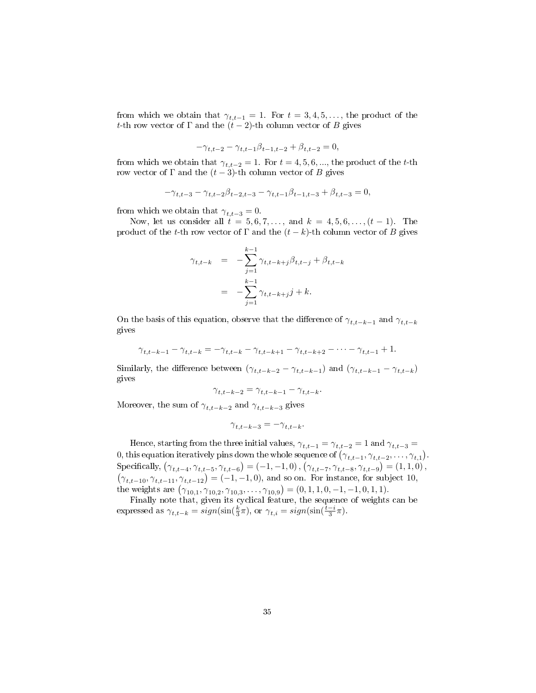from which we obtain that  $\gamma_{t,t-1} = 1$ . For  $t = 3, 4, 5, \ldots$ , the product of the t-th row vector of  $\Gamma$  and the  $(t-2)$ -th column vector of B gives

$$
-\gamma_{t,t-2} - \gamma_{t,t-1}\beta_{t-1,t-2} + \beta_{t,t-2} = 0,
$$

from which we obtain that  $\gamma_{t,t-2} = 1$ . For  $t = 4, 5, 6, \dots$ , the product of the t-th row vector of  $\Gamma$  and the  $(t-3)$ -th column vector of B gives

$$
-\gamma_{t,t-3} - \gamma_{t,t-2}\beta_{t-2,t-3} - \gamma_{t,t-1}\beta_{t-1,t-3} + \beta_{t,t-3} = 0,
$$

from which we obtain that  $\gamma_{t,t-3} = 0$ .

Now, let us consider all  $t = 5, 6, 7, \ldots$ , and  $k = 4, 5, 6, \ldots, (t-1)$ . The product of the t-th row vector of  $\Gamma$  and the  $(t - k)$ -th column vector of B gives

$$
\gamma_{t,t-k} = -\sum_{j=1}^{k-1} \gamma_{t,t-k+j} \beta_{t,t-j} + \beta_{t,t-k}
$$
  
= 
$$
-\sum_{j=1}^{k-1} \gamma_{t,t-k+j} j + k.
$$

On the basis of this equation, observe that the difference of  $\gamma_{t,t-k-1}$  and  $\gamma_{t,t-k}$ gives

$$
\gamma_{t,t-k-1} - \gamma_{t,t-k} = -\gamma_{t,t-k} - \gamma_{t,t-k+1} - \gamma_{t,t-k+2} - \dots - \gamma_{t,t-1} + 1.
$$

Similarly, the difference between  $(\gamma_{t,t-k-2} - \gamma_{t,t-k-1})$  and  $(\gamma_{t,t-k-1} - \gamma_{t,t-k})$ gives

$$
\gamma_{t,t-k-2} = \gamma_{t,t-k-1} - \gamma_{t,t-k}.
$$

Moreover, the sum of  $\gamma_{t,t-k-2}$  and  $\gamma_{t,t-k-3}$  gives

$$
\gamma_{t,t-k-3}=-\gamma_{t,t-k}.
$$

Hence, starting from the three initial values,  $\gamma_{t,t-1} = \gamma_{t,t-2} = 1$  and  $\gamma_{t,t-3} =$ 0, this equation iteratively pins down the whole sequence of  $(\gamma_{t,t-1}, \gamma_{t,t-2}, \ldots, \gamma_{t,1})$ . Specifically,  $(\gamma_{t,t-4}, \gamma_{t,t-5}, \gamma_{t,t-6}) = (-1, -1, 0)$ ,  $(\gamma_{t,t-7}, \gamma_{t,t-8}, \gamma_{t,t-9}) = (1, 1, 0)$ ,  $(\gamma_{t,t-10}, \gamma_{t,t-11}, \gamma_{t,t-12}) = (-1, -1, 0)$ , and so on. For instance, for subject 10, the weights are  $(\gamma_{10,1}, \gamma_{10,2}, \gamma_{10,3}, \ldots, \gamma_{10,9}) = (0, 1, 1, 0, -1, -1, 0, 1, 1).$ 

Finally note that, given its cyclical feature, the sequence of weights can be expressed as  $\gamma_{t,t-k} = sign(\sin(\frac{k}{3}\pi))$ , or  $\gamma_{t,i} = sign(\sin(\frac{t-i}{3}\pi))$ .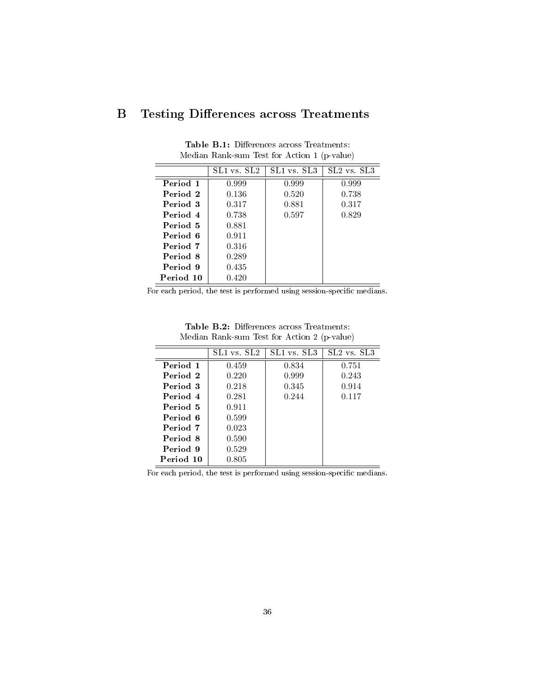### B Testing Differences across Treatments

|           | SL1 vs. SL2 | SL1 vs. SL3 | $SL2$ vs. $SL3$ |
|-----------|-------------|-------------|-----------------|
| Period 1  | 0.999       | 0.999       | 0.999           |
| Period 2  | 0.136       | 0.520       | 0.738           |
| Period 3  | 0.317       | 0.881       | 0.317           |
| Period 4  | 0.738       | 0.597       | 0.829           |
| Period 5  | 0.881       |             |                 |
| Period 6  | 0.911       |             |                 |
| Period 7  | 0.316       |             |                 |
| Period 8  | 0.289       |             |                 |
| Period 9  | 0.435       |             |                 |
| Period 10 | 0.420       |             |                 |

Table B.1: Differences across Treatments: Median Rank-sum Test for Action 1 (p-value)

For each period, the test is performed using session-specific medians.

Table B.2: Differences across Treatments: Median Rank-sum Test for Action 2 (p-value)

|           | SL1 vs. SL2 | SL1 vs. SL3 | SL2 vs. SL3 |
|-----------|-------------|-------------|-------------|
| Period 1  | 0.459       | 0.834       | 0.751       |
| Period 2  | 0.220       | 0.999       | 0.243       |
| Period 3  | 0.218       | 0.345       | 0.914       |
| Period 4  | 0.281       | 0.244       | 0.117       |
| Period 5  | 0.911       |             |             |
| Period 6  | 0.599       |             |             |
| Period 7  | 0.023       |             |             |
| Period 8  | 0.590       |             |             |
| Period 9  | 0.529       |             |             |
| Period 10 | 0.805       |             |             |

For each period, the test is performed using session-specific medians.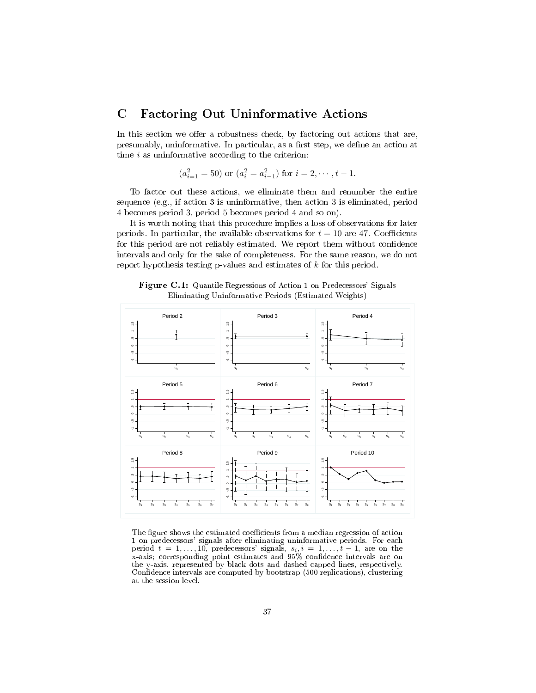#### C Factoring Out Uninformative Actions

In this section we offer a robustness check, by factoring out actions that are, presumably, uninformative. In particular, as a first step, we define an action at time  $i$  as uninformative according to the criterion:

$$
(a_{i=1}^2 = 50)
$$
 or  $(a_i^2 = a_{i-1}^2)$  for  $i = 2, \dots, t-1$ .

To factor out these actions, we eliminate them and renumber the entire sequence (e.g., if action 3 is uninformative, then action 3 is eliminated, period 4 becomes period 3, period 5 becomes period 4 and so on).

It is worth noting that this procedure implies a loss of observations for later periods. In particular, the available observations for  $t = 10$  are 47. Coefficients for this period are not reliably estimated. We report them without confidence intervals and only for the sake of completeness. For the same reason, we do not report hypothesis testing p-values and estimates of k for this period.



Figure C.1: Quantile Regressions of Action 1 on Predecessors' Signals Eliminating Uninformative Periods (Estimated Weights)

The figure shows the estimated coefficients from a median regression of action 1 on predecessors' signals after eliminating uninformative periods. For each period  $t = 1, \ldots, 10$ , predecessors' signals,  $s_i, i = 1, \ldots, t-1$ , are on the x-axis; corresponding point estimates and 95% condence intervals are on the y-axis, represented by black dots and dashed capped lines, respectively. Confidence intervals are computed by bootstrap (500 replications), clustering at the session level.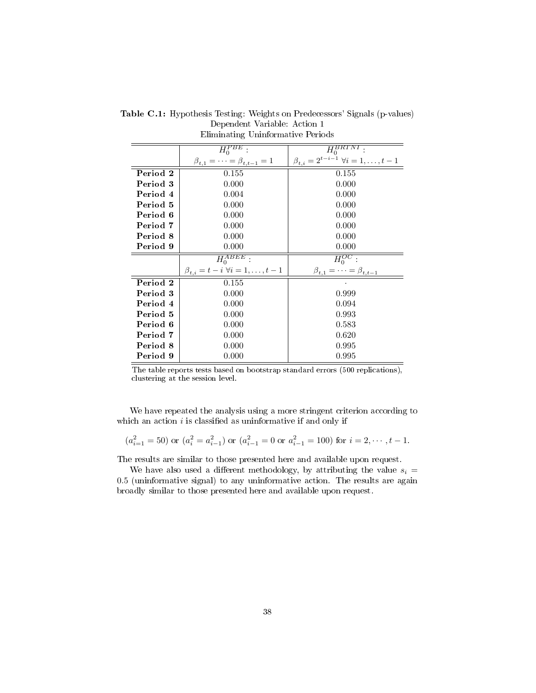|          | $\bar{H}^{PBE}_0$                                    | $\bar{H}_0^{\overline{BRTNT}}$                          |
|----------|------------------------------------------------------|---------------------------------------------------------|
|          | $\beta_{t,1} = \cdots = \beta_{t,t-1} = 1$           | $\beta_{t,i} = 2^{t-i-1} \; \forall i = 1, \ldots, t-1$ |
| Period 2 | 0.155                                                | 0.155                                                   |
| Period 3 | 0.000                                                | 0.000                                                   |
| Period 4 | 0.004                                                | 0.000                                                   |
| Period 5 | 0.000                                                | 0.000                                                   |
| Period 6 | 0.000                                                | 0.000                                                   |
| Period 7 | 0.000                                                | 0.000                                                   |
| Period 8 | 0.000                                                | 0.000                                                   |
| Period 9 | 0.000                                                | 0.000                                                   |
|          | $H_0^{\overline{ABEE}}$                              | $H_0^{OC}$ :                                            |
|          | $\beta_{t,i} = t - i \,\forall i = 1, \ldots, t - 1$ | $\beta_{t,1} = \cdots = \beta_{t,t-1}$                  |
| Period 2 | 0.155                                                |                                                         |
| Period 3 | 0.000                                                | 0.999                                                   |
| Period 4 | 0.000                                                | 0.094                                                   |
| Period 5 | 0.000                                                | 0.993                                                   |
| Period 6 | 0.000                                                | 0.583                                                   |
| Period 7 | 0.000                                                | 0.620                                                   |
| Period 8 | 0.000                                                | 0.995                                                   |
| Period 9 | 0.000                                                | 0.995                                                   |

Table C.1: Hypothesis Testing: Weights on Predecessors' Signals (p-values) Dependent Variable: Action 1 Eliminating Uninformative Periods

The table reports tests based on bootstrap standard errors (500 replications), clustering at the session level.

We have repeated the analysis using a more stringent criterion according to which an action  $i$  is classified as uninformative if and only if

$$
(a_{i=1}^2 = 50)
$$
 or  $(a_i^2 = a_{i-1}^2)$  or  $(a_{i-1}^2 = 0$  or  $a_{i-1}^2 = 100)$  for  $i = 2, \dots, t-1$ .

The results are similar to those presented here and available upon request.

We have also used a different methodology, by attributing the value  $s_i =$ 0.5 (uninformative signal) to any uninformative action. The results are again broadly similar to those presented here and available upon request.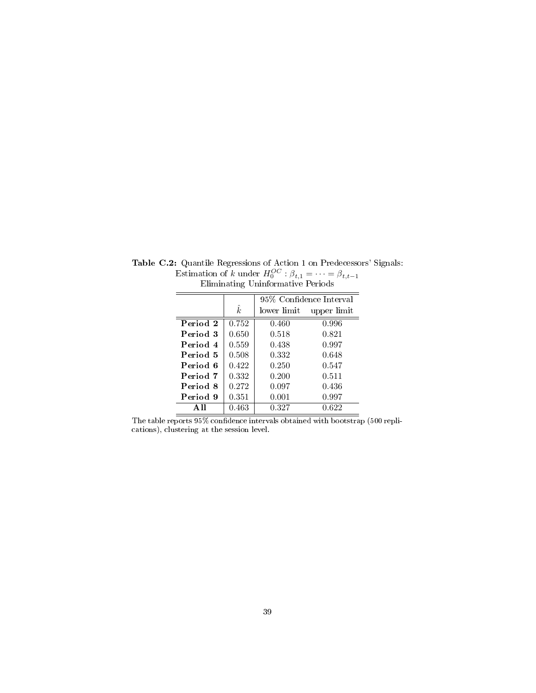|          |           | 95% Confidence Interval |             |
|----------|-----------|-------------------------|-------------|
|          | $\hat{k}$ | lower limit             | upper limit |
| Period 2 | 0.752     | 0.460                   | 0.996       |
| Period 3 | 0.650     | 0.518                   | 0.821       |
| Period 4 | 0.559     | 0.438                   | 0.997       |
| Period 5 | 0.508     | 0.332                   | 0.648       |
| Period 6 | 0.422     | 0.250                   | 0.547       |
| Period 7 | 0.332     | 0.200                   | 0.511       |
| Period 8 | 0.272     | 0.097                   | 0.436       |
| Period 9 | 0.351     | 0.001                   | 0.997       |
|          | 0.463     | 0.327                   | 0.622       |

Table C.2: Quantile Regressions of Action 1 on Predecessors' Signals: Estimation of k under  $H_0^{OC}$  :  $\beta_{t,1} = \cdots = \beta_{t,t-1}$ Eliminating Uninformative Periods

The table reports  $95\%$  confidence intervals obtained with bootstrap (500 replications), clustering at the session level.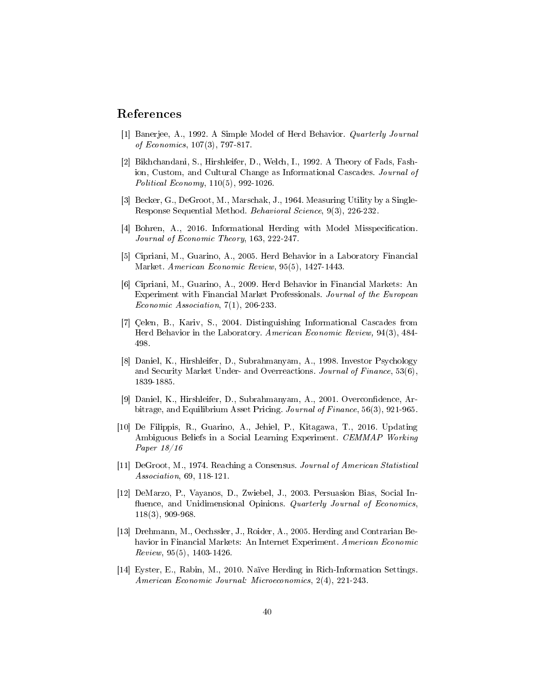#### References

- [1] Banerjee, A., 1992. A Simple Model of Herd Behavior. Quarterly Journal of Economics, 107(3), 797-817.
- [2] Bikhchandani, S., Hirshleifer, D., Welch, I., 1992. A Theory of Fads, Fashion, Custom, and Cultural Change as Informational Cascades. Journal of Political Economy, 110(5), 992-1026.
- [3] Becker, G., DeGroot, M., Marschak, J., 1964. Measuring Utility by a Single-Response Sequential Method. Behavioral Science, 9(3), 226-232.
- [4] Bohren, A., 2016. Informational Herding with Model Misspecification. Journal of Economic Theory, 163, 222-247.
- [5] Cipriani, M., Guarino, A., 2005. Herd Behavior in a Laboratory Financial Market. American Economic Review, 95(5), 1427-1443.
- [6] Cipriani, M., Guarino, A., 2009. Herd Behavior in Financial Markets: An Experiment with Financial Market Professionals. Journal of the European Economic Association, 7(1), 206-233.
- [7] Çelen, B., Kariv, S., 2004. Distinguishing Informational Cascades from Herd Behavior in the Laboratory. American Economic Review, 94(3), 484- 498.
- [8] Daniel, K., Hirshleifer, D., Subrahmanyam, A., 1998. Investor Psychology and Security Market Under- and Overreactions. Journal of Finance, 53(6), 1839-1885.
- [9] Daniel, K., Hirshleifer, D., Subrahmanyam, A., 2001. Overcondence, Arbitrage, and Equilibrium Asset Pricing. Journal of Finance, 56(3), 921-965.
- [10] De Filippis, R., Guarino, A., Jehiel, P., Kitagawa, T., 2016. Updating Ambiguous Beliefs in a Social Learning Experiment. CEMMAP Working Paper 18/16
- [11] DeGroot, M., 1974. Reaching a Consensus. Journal of American Statistical Association, 69, 118-121.
- [12] DeMarzo, P., Vayanos, D., Zwiebel, J., 2003. Persuasion Bias, Social In fluence, and Unidimensional Opinions. Quarterly Journal of Economics, 118(3), 909-968.
- [13] Drehmann, M., Oechssler, J., Roider, A., 2005. Herding and Contrarian Behavior in Financial Markets: An Internet Experiment. American Economic  $Review, 95(5), 1403-1426.$
- [14] Eyster, E., Rabin, M., 2010. Naïve Herding in Rich-Information Settings. American Economic Journal: Microeconomics, 2(4), 221-243.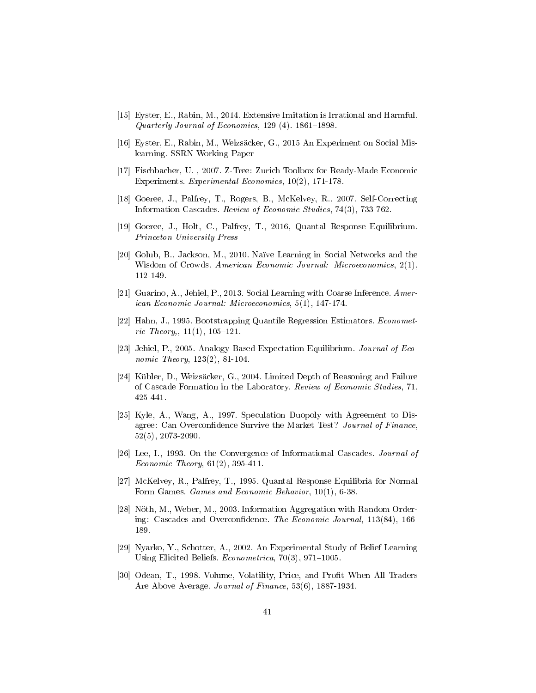- [15] Eyster, E., Rabin, M., 2014. Extensive Imitation is Irrational and Harmful. Quarterly Journal of Economics,  $129(4)$ .  $1861-1898$ .
- [16] Eyster, E., Rabin, M., Weizsäcker, G., 2015 An Experiment on Social Mislearning. SSRN Working Paper
- [17] Fischbacher, U. , 2007. Z-Tree: Zurich Toolbox for Ready-Made Economic Experiments. Experimental Economics, 10(2), 171-178.
- [18] Goeree, J., Palfrey, T., Rogers, B., McKelvey, R., 2007. Self-Correcting Information Cascades. Review of Economic Studies, 74(3), 733-762.
- [19] Goeree, J., Holt, C., Palfrey, T., 2016, Quantal Response Equilibrium. Princeton University Press
- [20] Golub, B., Jackson, M., 2010. Naïve Learning in Social Networks and the Wisdom of Crowds. American Economic Journal: Microeconomics, 2(1), 112-149.
- [21] Guarino, A., Jehiel, P., 2013. Social Learning with Coarse Inference. American Economic Journal: Microeconomics, 5(1), 147-174.
- [22] Hahn, J., 1995. Bootstrapping Quantile Regression Estimators. Econometric Theory,,  $11(1)$ ,  $105-121$ .
- [23] Jehiel, P., 2005. Analogy-Based Expectation Equilibrium. Journal of Economic Theory, 123(2), 81-104.
- [24] Kübler, D., Weizsäcker, G., 2004. Limited Depth of Reasoning and Failure of Cascade Formation in the Laboratory. Review of Economic Studies, 71, 425-441.
- [25] Kyle, A., Wang, A., 1997. Speculation Duopoly with Agreement to Disagree: Can Overconfidence Survive the Market Test? Journal of Finance, 52(5), 2073-2090.
- [26] Lee, I., 1993. On the Convergence of Informational Cascades. Journal of *Economic Theory*,  $61(2)$ ,  $395-411$ .
- [27] McKelvey, R., Palfrey, T., 1995. Quantal Response Equilibria for Normal Form Games. Games and Economic Behavior, 10(1), 6-38.
- [28] Nöth, M., Weber, M., 2003. Information Aggregation with Random Ordering: Cascades and Overconfidence. The Economic Journal, 113(84), 166-189.
- [29] Nyarko, Y., Schotter, A., 2002. An Experimental Study of Belief Learning Using Elicited Beliefs.  $Econometrica$ , 70(3), 971-1005.
- [30] Odean, T., 1998. Volume, Volatility, Price, and Profit When All Traders Are Above Average. Journal of Finance, 53(6), 1887-1934.